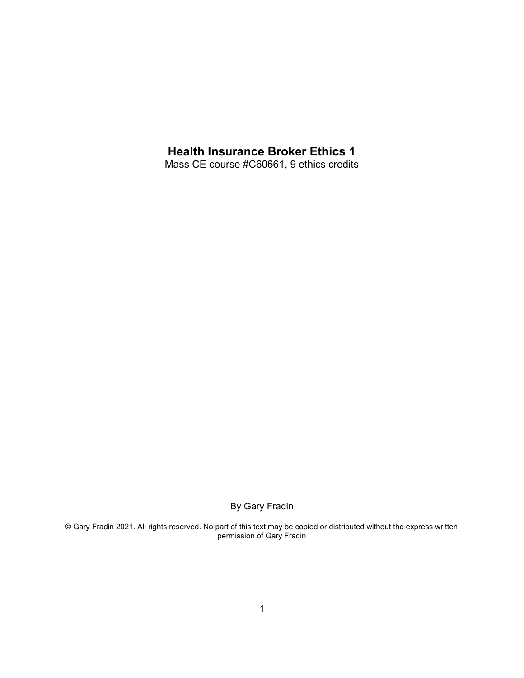# **Health Insurance Broker Ethics 1**

Mass CE course #C60661, 9 ethics credits

By Gary Fradin

© Gary Fradin 2021. All rights reserved. No part of this text may be copied or distributed without the express written permission of Gary Fradin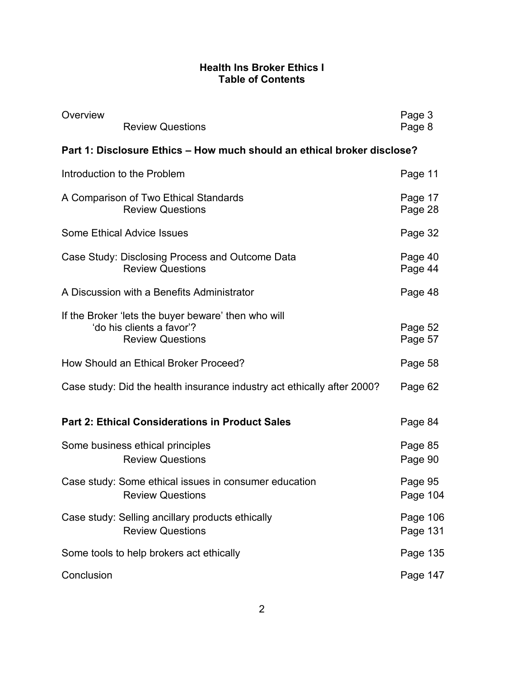## **Health Ins Broker Ethics I Table of Contents**

| Overview   | <b>Review Questions</b>                                                                                     | Page 3<br>Page 8     |
|------------|-------------------------------------------------------------------------------------------------------------|----------------------|
|            | Part 1: Disclosure Ethics - How much should an ethical broker disclose?                                     |                      |
|            | Introduction to the Problem                                                                                 | Page 11              |
|            | A Comparison of Two Ethical Standards<br><b>Review Questions</b>                                            | Page 17<br>Page 28   |
|            | <b>Some Ethical Advice Issues</b>                                                                           | Page 32              |
|            | Case Study: Disclosing Process and Outcome Data<br><b>Review Questions</b>                                  | Page 40<br>Page 44   |
|            | A Discussion with a Benefits Administrator                                                                  | Page 48              |
|            | If the Broker 'lets the buyer beware' then who will<br>'do his clients a favor'?<br><b>Review Questions</b> | Page 52<br>Page 57   |
|            | How Should an Ethical Broker Proceed?                                                                       | Page 58              |
|            | Case study: Did the health insurance industry act ethically after 2000?                                     | Page 62              |
|            | <b>Part 2: Ethical Considerations in Product Sales</b>                                                      | Page 84              |
|            | Some business ethical principles<br><b>Review Questions</b>                                                 | Page 85<br>Page 90   |
|            | Case study: Some ethical issues in consumer education<br><b>Review Questions</b>                            | Page 95<br>Page 104  |
|            | Case study: Selling ancillary products ethically<br><b>Review Questions</b>                                 | Page 106<br>Page 131 |
|            | Some tools to help brokers act ethically                                                                    | Page 135             |
| Conclusion |                                                                                                             | Page 147             |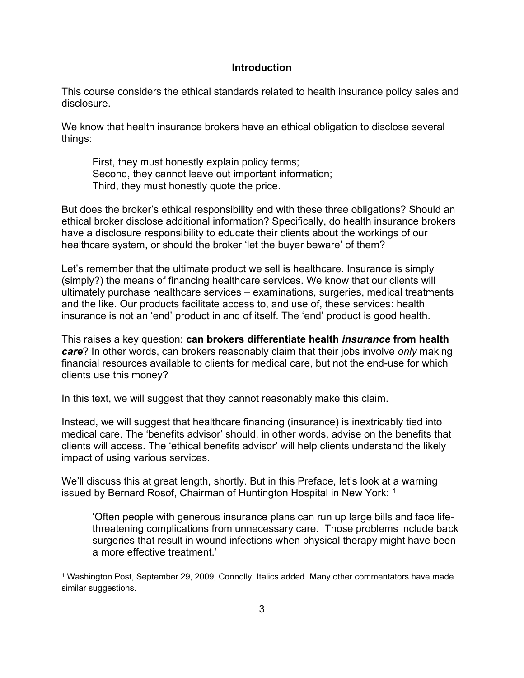#### **Introduction**

This course considers the ethical standards related to health insurance policy sales and disclosure.

We know that health insurance brokers have an ethical obligation to disclose several things:

First, they must honestly explain policy terms; Second, they cannot leave out important information; Third, they must honestly quote the price.

But does the broker's ethical responsibility end with these three obligations? Should an ethical broker disclose additional information? Specifically, do health insurance brokers have a disclosure responsibility to educate their clients about the workings of our healthcare system, or should the broker 'let the buyer beware' of them?

Let's remember that the ultimate product we sell is healthcare. Insurance is simply (simply?) the means of financing healthcare services. We know that our clients will ultimately purchase healthcare services – examinations, surgeries, medical treatments and the like. Our products facilitate access to, and use of, these services: health insurance is not an 'end' product in and of itself. The 'end' product is good health.

This raises a key question: **can brokers differentiate health** *insurance* **from health**  *care*? In other words, can brokers reasonably claim that their jobs involve *only* making financial resources available to clients for medical care, but not the end-use for which clients use this money?

In this text, we will suggest that they cannot reasonably make this claim.

Instead, we will suggest that healthcare financing (insurance) is inextricably tied into medical care. The 'benefits advisor' should, in other words, advise on the benefits that clients will access. The 'ethical benefits advisor' will help clients understand the likely impact of using various services.

We'll discuss this at great length, shortly. But in this Preface, let's look at a warning issued by Bernard Rosof, Chairman of Huntington Hospital in New York: <sup>1</sup>

'Often people with generous insurance plans can run up large bills and face lifethreatening complications from unnecessary care. Those problems include back surgeries that result in wound infections when physical therapy might have been a more effective treatment.'

<sup>1</sup> Washington Post, September 29, 2009, Connolly. Italics added. Many other commentators have made similar suggestions.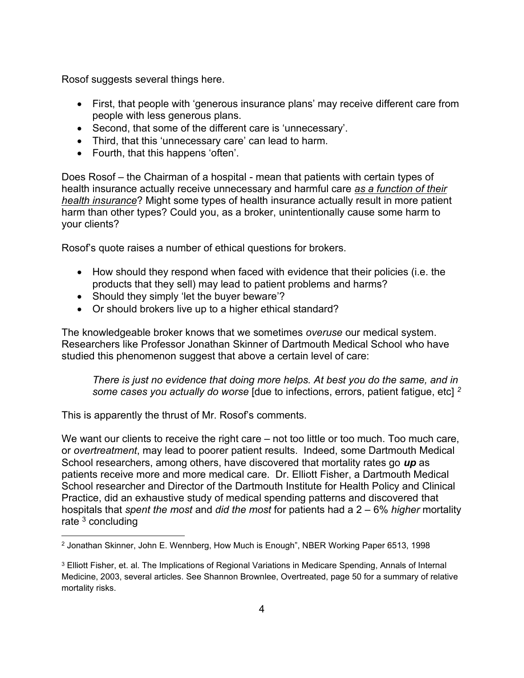Rosof suggests several things here.

- First, that people with 'generous insurance plans' may receive different care from people with less generous plans.
- Second, that some of the different care is 'unnecessary'.
- Third, that this 'unnecessary care' can lead to harm.
- Fourth, that this happens 'often'.

Does Rosof – the Chairman of a hospital - mean that patients with certain types of health insurance actually receive unnecessary and harmful care *as a function of their health insurance*? Might some types of health insurance actually result in more patient harm than other types? Could you, as a broker, unintentionally cause some harm to your clients?

Rosof's quote raises a number of ethical questions for brokers.

- How should they respond when faced with evidence that their policies (i.e. the products that they sell) may lead to patient problems and harms?
- Should they simply 'let the buyer beware'?
- Or should brokers live up to a higher ethical standard?

The knowledgeable broker knows that we sometimes *overuse* our medical system. Researchers like Professor Jonathan Skinner of Dartmouth Medical School who have studied this phenomenon suggest that above a certain level of care:

*There is just no evidence that doing more helps. At best you do the same, and in some cases you actually do worse* [due to infections, errors, patient fatigue, etc] *<sup>2</sup>*

This is apparently the thrust of Mr. Rosof's comments.

We want our clients to receive the right care – not too little or too much. Too much care, or *overtreatment*, may lead to poorer patient results. Indeed, some Dartmouth Medical School researchers, among others, have discovered that mortality rates go *up* as patients receive more and more medical care. Dr. Elliott Fisher, a Dartmouth Medical School researcher and Director of the Dartmouth Institute for Health Policy and Clinical Practice, did an exhaustive study of medical spending patterns and discovered that hospitals that *spent the most* and *did the most* for patients had a 2 – 6% *higher* mortality rate  $3$  concluding

<sup>2</sup> Jonathan Skinner, John E. Wennberg, How Much is Enough", NBER Working Paper 6513, 1998

<sup>&</sup>lt;sup>3</sup> Elliott Fisher, et. al. The Implications of Regional Variations in Medicare Spending, Annals of Internal Medicine, 2003, several articles. See Shannon Brownlee, Overtreated, page 50 for a summary of relative mortality risks.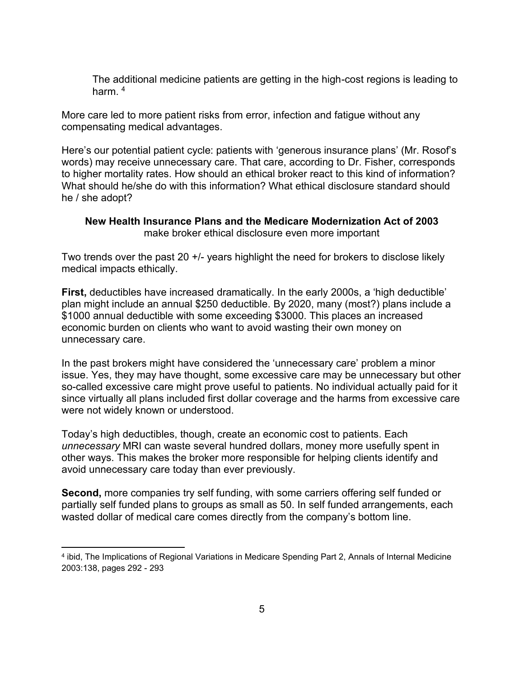The additional medicine patients are getting in the high-cost regions is leading to harm  $4$ 

More care led to more patient risks from error, infection and fatigue without any compensating medical advantages.

Here's our potential patient cycle: patients with 'generous insurance plans' (Mr. Rosof's words) may receive unnecessary care. That care, according to Dr. Fisher, corresponds to higher mortality rates. How should an ethical broker react to this kind of information? What should he/she do with this information? What ethical disclosure standard should he / she adopt?

## **New Health Insurance Plans and the Medicare Modernization Act of 2003** make broker ethical disclosure even more important

Two trends over the past 20 +/- years highlight the need for brokers to disclose likely medical impacts ethically.

**First,** deductibles have increased dramatically. In the early 2000s, a 'high deductible' plan might include an annual \$250 deductible. By 2020, many (most?) plans include a \$1000 annual deductible with some exceeding \$3000. This places an increased economic burden on clients who want to avoid wasting their own money on unnecessary care.

In the past brokers might have considered the 'unnecessary care' problem a minor issue. Yes, they may have thought, some excessive care may be unnecessary but other so-called excessive care might prove useful to patients. No individual actually paid for it since virtually all plans included first dollar coverage and the harms from excessive care were not widely known or understood.

Today's high deductibles, though, create an economic cost to patients. Each *unnecessary* MRI can waste several hundred dollars, money more usefully spent in other ways. This makes the broker more responsible for helping clients identify and avoid unnecessary care today than ever previously.

**Second,** more companies try self funding, with some carriers offering self funded or partially self funded plans to groups as small as 50. In self funded arrangements, each wasted dollar of medical care comes directly from the company's bottom line.

<sup>4</sup> ibid, The Implications of Regional Variations in Medicare Spending Part 2, Annals of Internal Medicine 2003:138, pages 292 - 293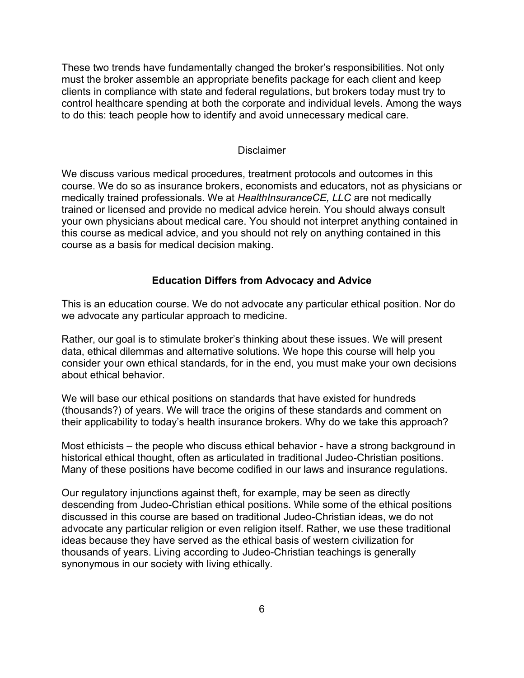These two trends have fundamentally changed the broker's responsibilities. Not only must the broker assemble an appropriate benefits package for each client and keep clients in compliance with state and federal regulations, but brokers today must try to control healthcare spending at both the corporate and individual levels. Among the ways to do this: teach people how to identify and avoid unnecessary medical care.

#### **Disclaimer**

We discuss various medical procedures, treatment protocols and outcomes in this course. We do so as insurance brokers, economists and educators, not as physicians or medically trained professionals. We at *HealthInsuranceCE, LLC* are not medically trained or licensed and provide no medical advice herein. You should always consult your own physicians about medical care. You should not interpret anything contained in this course as medical advice, and you should not rely on anything contained in this course as a basis for medical decision making.

#### **Education Differs from Advocacy and Advice**

This is an education course. We do not advocate any particular ethical position. Nor do we advocate any particular approach to medicine.

Rather, our goal is to stimulate broker's thinking about these issues. We will present data, ethical dilemmas and alternative solutions. We hope this course will help you consider your own ethical standards, for in the end, you must make your own decisions about ethical behavior.

We will base our ethical positions on standards that have existed for hundreds (thousands?) of years. We will trace the origins of these standards and comment on their applicability to today's health insurance brokers. Why do we take this approach?

Most ethicists – the people who discuss ethical behavior - have a strong background in historical ethical thought, often as articulated in traditional Judeo-Christian positions. Many of these positions have become codified in our laws and insurance regulations.

Our regulatory injunctions against theft, for example, may be seen as directly descending from Judeo-Christian ethical positions. While some of the ethical positions discussed in this course are based on traditional Judeo-Christian ideas, we do not advocate any particular religion or even religion itself. Rather, we use these traditional ideas because they have served as the ethical basis of western civilization for thousands of years. Living according to Judeo-Christian teachings is generally synonymous in our society with living ethically.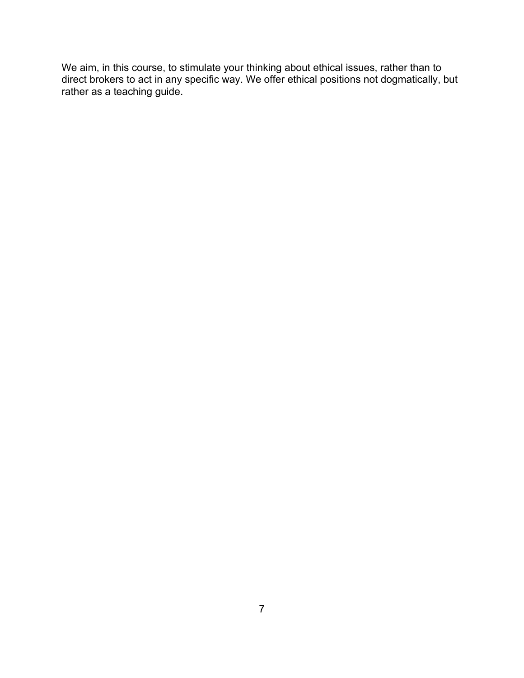We aim, in this course, to stimulate your thinking about ethical issues, rather than to direct brokers to act in any specific way. We offer ethical positions not dogmatically, but rather as a teaching guide.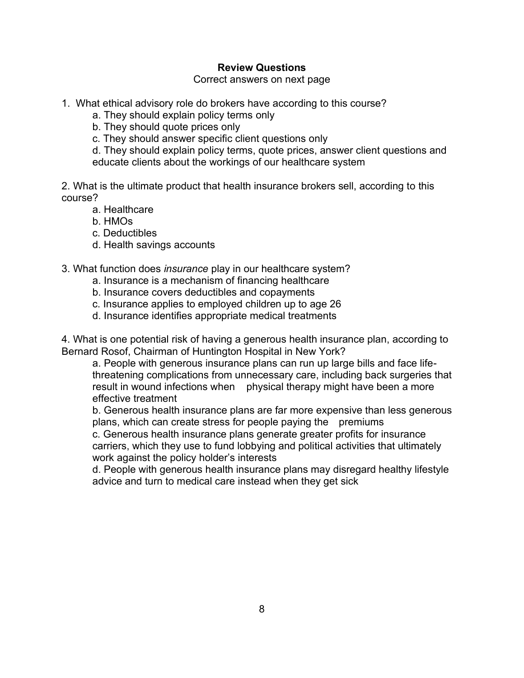### **Review Questions**

Correct answers on next page

- 1. What ethical advisory role do brokers have according to this course?
	- a. They should explain policy terms only
	- b. They should quote prices only
	- c. They should answer specific client questions only

d. They should explain policy terms, quote prices, answer client questions and educate clients about the workings of our healthcare system

2. What is the ultimate product that health insurance brokers sell, according to this course?

- a. Healthcare
- b. HMOs
- c. Deductibles
- d. Health savings accounts
- 3. What function does *insurance* play in our healthcare system?
	- a. Insurance is a mechanism of financing healthcare
	- b. Insurance covers deductibles and copayments
	- c. Insurance applies to employed children up to age 26
	- d. Insurance identifies appropriate medical treatments

4. What is one potential risk of having a generous health insurance plan, according to Bernard Rosof, Chairman of Huntington Hospital in New York?

a. People with generous insurance plans can run up large bills and face lifethreatening complications from unnecessary care, including back surgeries that result in wound infections when physical therapy might have been a more effective treatment

b. Generous health insurance plans are far more expensive than less generous plans, which can create stress for people paying the premiums

c. Generous health insurance plans generate greater profits for insurance carriers, which they use to fund lobbying and political activities that ultimately work against the policy holder's interests

d. People with generous health insurance plans may disregard healthy lifestyle advice and turn to medical care instead when they get sick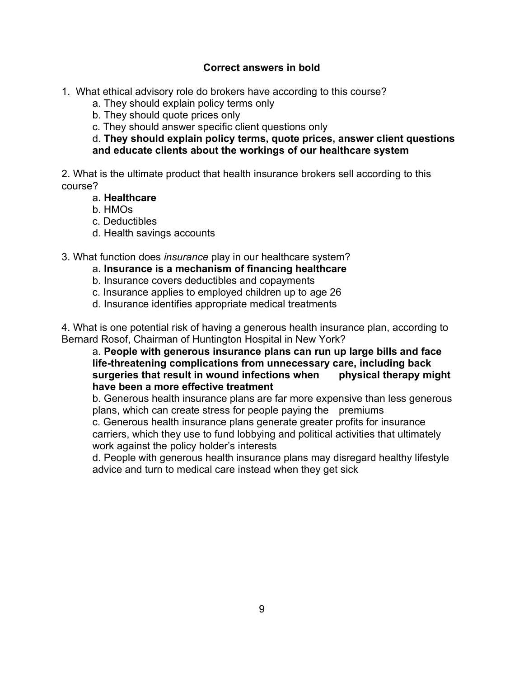## **Correct answers in bold**

- 1. What ethical advisory role do brokers have according to this course?
	- a. They should explain policy terms only
	- b. They should quote prices only
	- c. They should answer specific client questions only

d. **They should explain policy terms, quote prices, answer client questions and educate clients about the workings of our healthcare system**

2. What is the ultimate product that health insurance brokers sell according to this course?

- a**. Healthcare**
- b. HMOs
- c. Deductibles
- d. Health savings accounts

3. What function does *insurance* play in our healthcare system?

- a**. Insurance is a mechanism of financing healthcare**
- b. Insurance covers deductibles and copayments
- c. Insurance applies to employed children up to age 26
- d. Insurance identifies appropriate medical treatments

4. What is one potential risk of having a generous health insurance plan, according to Bernard Rosof, Chairman of Huntington Hospital in New York?

a. **People with generous insurance plans can run up large bills and face life-threatening complications from unnecessary care, including back surgeries that result in wound infections when physical therapy might have been a more effective treatment**

b. Generous health insurance plans are far more expensive than less generous plans, which can create stress for people paying the premiums c. Generous health insurance plans generate greater profits for insurance carriers, which they use to fund lobbying and political activities that ultimately work against the policy holder's interests

d. People with generous health insurance plans may disregard healthy lifestyle advice and turn to medical care instead when they get sick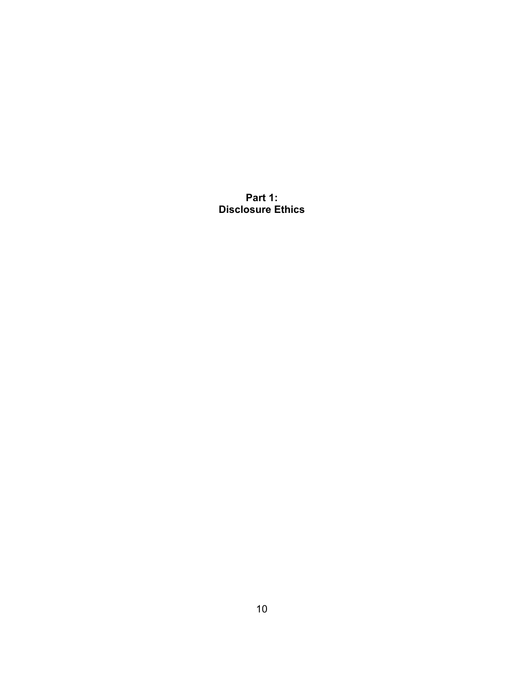**Part 1: Disclosure Ethics**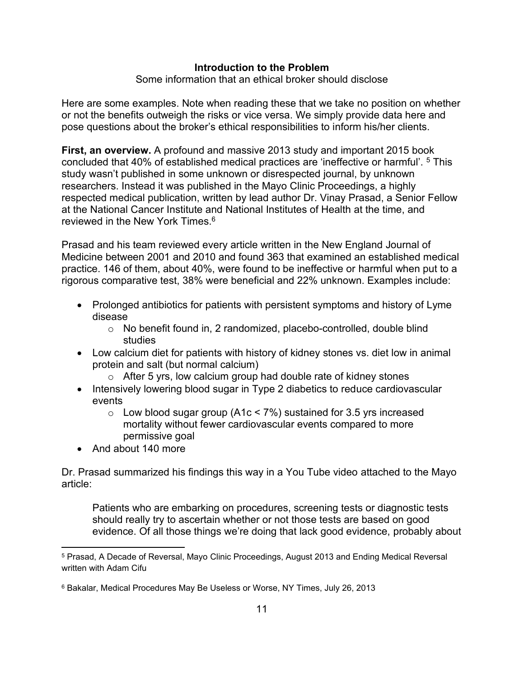### **Introduction to the Problem**

Some information that an ethical broker should disclose

Here are some examples. Note when reading these that we take no position on whether or not the benefits outweigh the risks or vice versa. We simply provide data here and pose questions about the broker's ethical responsibilities to inform his/her clients.

**First, an overview.** A profound and massive 2013 study and important 2015 book concluded that 40% of established medical practices are 'ineffective or harmful'. <sup>5</sup> This study wasn't published in some unknown or disrespected journal, by unknown researchers. Instead it was published in the Mayo Clinic Proceedings, a highly respected medical publication, written by lead author Dr. Vinay Prasad, a Senior Fellow at the National Cancer Institute and National Institutes of Health at the time, and reviewed in the New York Times  $6$ 

Prasad and his team reviewed every article written in the New England Journal of Medicine between 2001 and 2010 and found 363 that examined an established medical practice. 146 of them, about 40%, were found to be ineffective or harmful when put to a rigorous comparative test, 38% were beneficial and 22% unknown. Examples include:

- Prolonged antibiotics for patients with persistent symptoms and history of Lyme disease
	- $\circ$  No benefit found in, 2 randomized, placebo-controlled, double blind studies
- Low calcium diet for patients with history of kidney stones vs. diet low in animal protein and salt (but normal calcium)
	- $\circ$  After 5 yrs, low calcium group had double rate of kidney stones
- Intensively lowering blood sugar in Type 2 diabetics to reduce cardiovascular events
	- $\circ$  Low blood sugar group (A1c < 7%) sustained for 3.5 yrs increased mortality without fewer cardiovascular events compared to more permissive goal
- And about 140 more

Dr. Prasad summarized his findings this way in a You Tube video attached to the Mayo article:

Patients who are embarking on procedures, screening tests or diagnostic tests should really try to ascertain whether or not those tests are based on good evidence. Of all those things we're doing that lack good evidence, probably about

<sup>5</sup> Prasad, A Decade of Reversal, Mayo Clinic Proceedings, August 2013 and Ending Medical Reversal written with Adam Cifu

<sup>6</sup> Bakalar, Medical Procedures May Be Useless or Worse, NY Times, July 26, 2013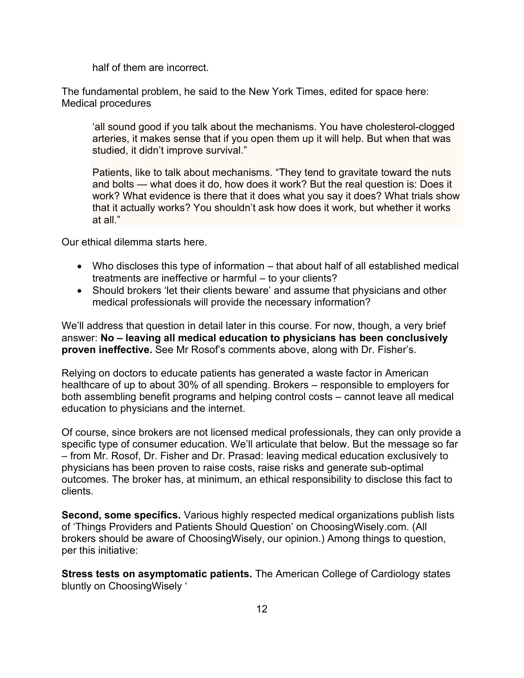half of them are incorrect.

The fundamental problem, he said to the New York Times, edited for space here: Medical procedures

'all sound good if you talk about the mechanisms. You have cholesterol-clogged arteries, it makes sense that if you open them up it will help. But when that was studied, it didn't improve survival."

Patients, like to talk about mechanisms. "They tend to gravitate toward the nuts and bolts — what does it do, how does it work? But the real question is: Does it work? What evidence is there that it does what you say it does? What trials show that it actually works? You shouldn't ask how does it work, but whether it works at all."

Our ethical dilemma starts here.

- Who discloses this type of information that about half of all established medical treatments are ineffective or harmful – to your clients?
- Should brokers 'let their clients beware' and assume that physicians and other medical professionals will provide the necessary information?

We'll address that question in detail later in this course. For now, though, a very brief answer: **No – leaving all medical education to physicians has been conclusively proven ineffective.** See Mr Rosof's comments above, along with Dr. Fisher's.

Relying on doctors to educate patients has generated a waste factor in American healthcare of up to about 30% of all spending. Brokers – responsible to employers for both assembling benefit programs and helping control costs – cannot leave all medical education to physicians and the internet.

Of course, since brokers are not licensed medical professionals, they can only provide a specific type of consumer education. We'll articulate that below. But the message so far – from Mr. Rosof, Dr. Fisher and Dr. Prasad: leaving medical education exclusively to physicians has been proven to raise costs, raise risks and generate sub-optimal outcomes. The broker has, at minimum, an ethical responsibility to disclose this fact to clients.

**Second, some specifics.** Various highly respected medical organizations publish lists of 'Things Providers and Patients Should Question' on ChoosingWisely.com. (All brokers should be aware of ChoosingWisely, our opinion.) Among things to question, per this initiative:

**Stress tests on asymptomatic patients.** The American College of Cardiology states bluntly on ChoosingWisely '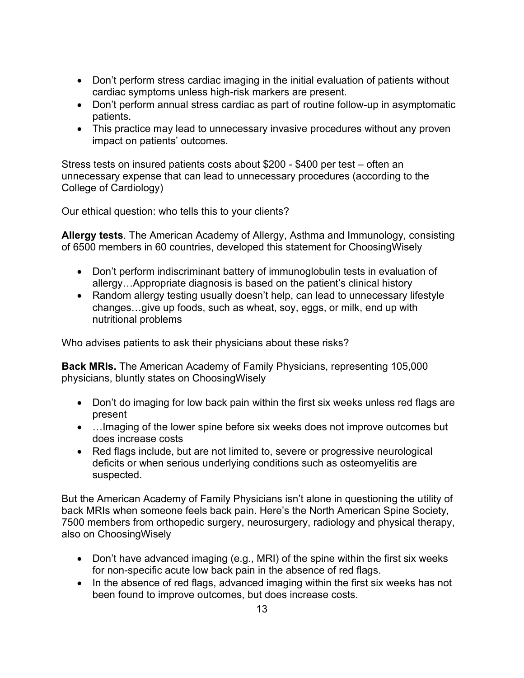- Don't perform stress cardiac imaging in the initial evaluation of patients without cardiac symptoms unless high-risk markers are present.
- Don't perform annual stress cardiac as part of routine follow-up in asymptomatic patients.
- This practice may lead to unnecessary invasive procedures without any proven impact on patients' outcomes.

Stress tests on insured patients costs about \$200 - \$400 per test – often an unnecessary expense that can lead to unnecessary procedures (according to the College of Cardiology)

Our ethical question: who tells this to your clients?

**Allergy tests**. The American Academy of Allergy, Asthma and Immunology, consisting of 6500 members in 60 countries, developed this statement for ChoosingWisely

- Don't perform indiscriminant battery of immunoglobulin tests in evaluation of allergy…Appropriate diagnosis is based on the patient's clinical history
- Random allergy testing usually doesn't help, can lead to unnecessary lifestyle changes…give up foods, such as wheat, soy, eggs, or milk, end up with nutritional problems

Who advises patients to ask their physicians about these risks?

**Back MRIs.** The American Academy of Family Physicians, representing 105,000 physicians, bluntly states on ChoosingWisely

- Don't do imaging for low back pain within the first six weeks unless red flags are present
- …Imaging of the lower spine before six weeks does not improve outcomes but does increase costs
- Red flags include, but are not limited to, severe or progressive neurological deficits or when serious underlying conditions such as osteomyelitis are suspected.

But the American Academy of Family Physicians isn't alone in questioning the utility of back MRIs when someone feels back pain. Here's the North American Spine Society, 7500 members from orthopedic surgery, neurosurgery, radiology and physical therapy, also on ChoosingWisely

- Don't have advanced imaging (e.g., MRI) of the spine within the first six weeks for non-specific acute low back pain in the absence of red flags.
- In the absence of red flags, advanced imaging within the first six weeks has not been found to improve outcomes, but does increase costs.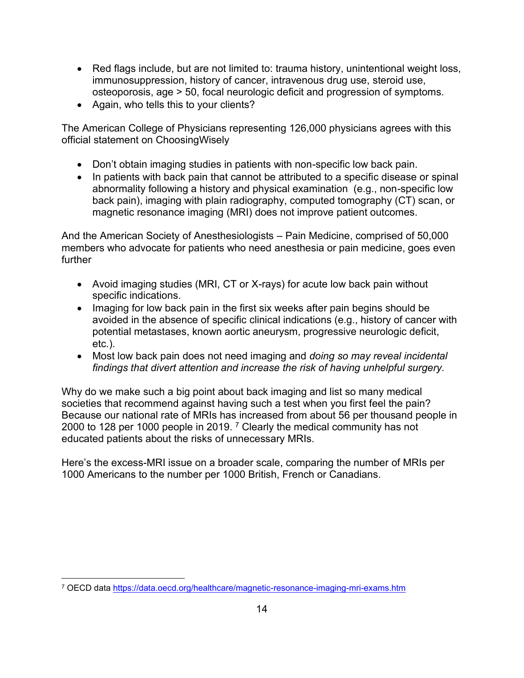- Red flags include, but are not limited to: trauma history, unintentional weight loss, immunosuppression, history of cancer, intravenous drug use, steroid use, osteoporosis, age > 50, focal neurologic deficit and progression of symptoms.
- Again, who tells this to your clients?

The American College of Physicians representing 126,000 physicians agrees with this official statement on ChoosingWisely

- Don't obtain imaging studies in patients with non-specific low back pain.
- In patients with back pain that cannot be attributed to a specific disease or spinal abnormality following a history and physical examination (e.g., non-specific low back pain), imaging with plain radiography, computed tomography (CT) scan, or magnetic resonance imaging (MRI) does not improve patient outcomes.

And the American Society of Anesthesiologists – Pain Medicine, comprised of 50,000 members who advocate for patients who need anesthesia or pain medicine, goes even further

- Avoid imaging studies (MRI, CT or X-rays) for acute low back pain without specific indications.
- Imaging for low back pain in the first six weeks after pain begins should be avoided in the absence of specific clinical indications (e.g., history of cancer with potential metastases, known aortic aneurysm, progressive neurologic deficit, etc.).
- Most low back pain does not need imaging and *doing so may reveal incidental findings that divert attention and increase the risk of having unhelpful surgery.*

Why do we make such a big point about back imaging and list so many medical societies that recommend against having such a test when you first feel the pain? Because our national rate of MRIs has increased from about 56 per thousand people in 2000 to 128 per 1000 people in 2019. <sup>7</sup> Clearly the medical community has not educated patients about the risks of unnecessary MRIs.

Here's the excess-MRI issue on a broader scale, comparing the number of MRIs per 1000 Americans to the number per 1000 British, French or Canadians.

<sup>7</sup> OECD data <https://data.oecd.org/healthcare/magnetic-resonance-imaging-mri-exams.htm>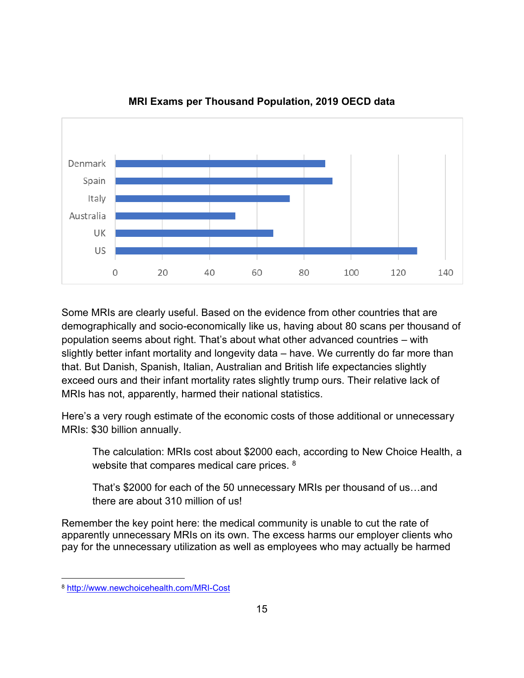

**MRI Exams per Thousand Population, 2019 OECD data**

Some MRIs are clearly useful. Based on the evidence from other countries that are demographically and socio-economically like us, having about 80 scans per thousand of population seems about right. That's about what other advanced countries – with slightly better infant mortality and longevity data – have. We currently do far more than that. But Danish, Spanish, Italian, Australian and British life expectancies slightly exceed ours and their infant mortality rates slightly trump ours. Their relative lack of MRIs has not, apparently, harmed their national statistics.

Here's a very rough estimate of the economic costs of those additional or unnecessary MRIs: \$30 billion annually.

The calculation: MRIs cost about \$2000 each, according to New Choice Health, a website that compares medical care prices. <sup>8</sup>

That's \$2000 for each of the 50 unnecessary MRIs per thousand of us…and there are about 310 million of us!

Remember the key point here: the medical community is unable to cut the rate of apparently unnecessary MRIs on its own. The excess harms our employer clients who pay for the unnecessary utilization as well as employees who may actually be harmed

<sup>8</sup> <http://www.newchoicehealth.com/MRI-Cost>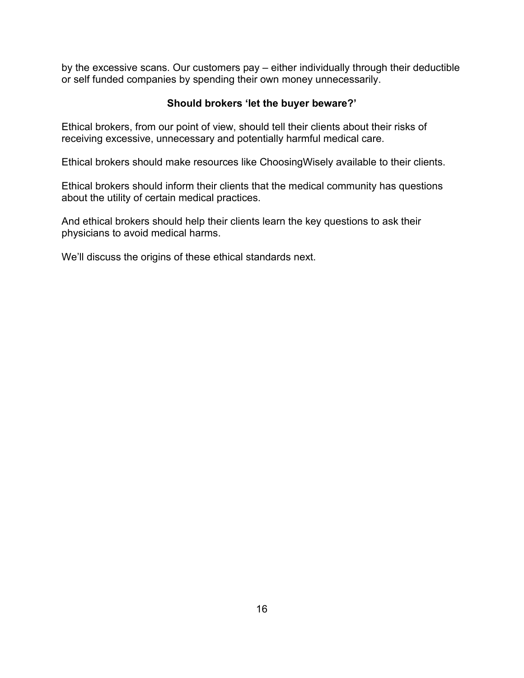by the excessive scans. Our customers pay – either individually through their deductible or self funded companies by spending their own money unnecessarily.

## **Should brokers 'let the buyer beware?'**

Ethical brokers, from our point of view, should tell their clients about their risks of receiving excessive, unnecessary and potentially harmful medical care.

Ethical brokers should make resources like ChoosingWisely available to their clients.

Ethical brokers should inform their clients that the medical community has questions about the utility of certain medical practices.

And ethical brokers should help their clients learn the key questions to ask their physicians to avoid medical harms.

We'll discuss the origins of these ethical standards next.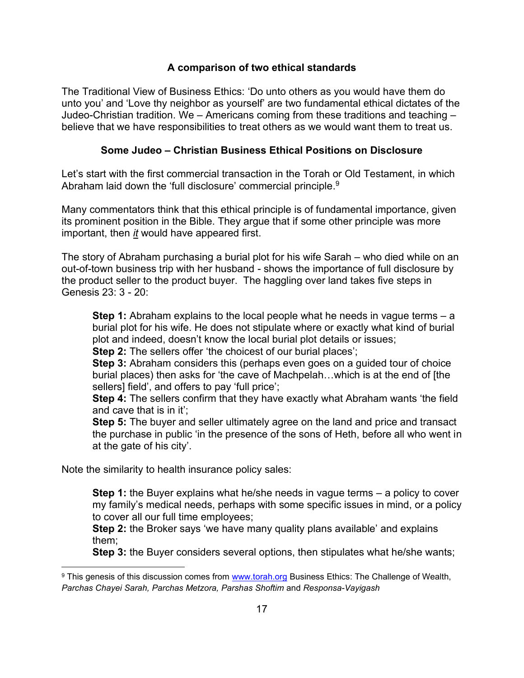## **A comparison of two ethical standards**

The Traditional View of Business Ethics: 'Do unto others as you would have them do unto you' and 'Love thy neighbor as yourself' are two fundamental ethical dictates of the Judeo-Christian tradition. We – Americans coming from these traditions and teaching – believe that we have responsibilities to treat others as we would want them to treat us.

### **Some Judeo – Christian Business Ethical Positions on Disclosure**

Let's start with the first commercial transaction in the Torah or Old Testament, in which Abraham laid down the 'full disclosure' commercial principle. $^9$ 

Many commentators think that this ethical principle is of fundamental importance, given its prominent position in the Bible. They argue that if some other principle was more important, then *it* would have appeared first.

The story of Abraham purchasing a burial plot for his wife Sarah – who died while on an out-of-town business trip with her husband - shows the importance of full disclosure by the product seller to the product buyer. The haggling over land takes five steps in Genesis 23: 3 - 20:

**Step 1:** Abraham explains to the local people what he needs in vague terms – a burial plot for his wife. He does not stipulate where or exactly what kind of burial plot and indeed, doesn't know the local burial plot details or issues;

**Step 2:** The sellers offer 'the choicest of our burial places';

**Step 3:** Abraham considers this (perhaps even goes on a guided tour of choice burial places) then asks for 'the cave of Machpelah…which is at the end of [the sellers] field', and offers to pay 'full price';

**Step 4:** The sellers confirm that they have exactly what Abraham wants 'the field and cave that is in it';

**Step 5:** The buyer and seller ultimately agree on the land and price and transact the purchase in public 'in the presence of the sons of Heth, before all who went in at the gate of his city'.

Note the similarity to health insurance policy sales:

**Step 1:** the Buyer explains what he/she needs in vague terms – a policy to cover my family's medical needs, perhaps with some specific issues in mind, or a policy to cover all our full time employees;

**Step 2:** the Broker says 'we have many quality plans available' and explains them;

**Step 3:** the Buyer considers several options, then stipulates what he/she wants;

<sup>9</sup> This genesis of this discussion comes from [www.torah.org](http://www.torah.org/) Business Ethics: The Challenge of Wealth, *Parchas Chayei Sarah, Parchas Metzora, Parshas Shoftim* and *Responsa-Vayigash*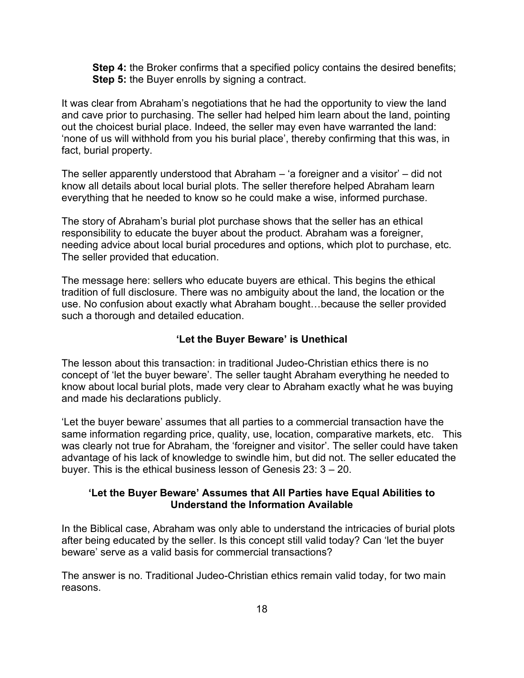**Step 4:** the Broker confirms that a specified policy contains the desired benefits; **Step 5:** the Buyer enrolls by signing a contract.

It was clear from Abraham's negotiations that he had the opportunity to view the land and cave prior to purchasing. The seller had helped him learn about the land, pointing out the choicest burial place. Indeed, the seller may even have warranted the land: 'none of us will withhold from you his burial place', thereby confirming that this was, in fact, burial property.

The seller apparently understood that Abraham – 'a foreigner and a visitor' – did not know all details about local burial plots. The seller therefore helped Abraham learn everything that he needed to know so he could make a wise, informed purchase.

The story of Abraham's burial plot purchase shows that the seller has an ethical responsibility to educate the buyer about the product. Abraham was a foreigner, needing advice about local burial procedures and options, which plot to purchase, etc. The seller provided that education.

The message here: sellers who educate buyers are ethical. This begins the ethical tradition of full disclosure. There was no ambiguity about the land, the location or the use. No confusion about exactly what Abraham bought…because the seller provided such a thorough and detailed education.

#### **'Let the Buyer Beware' is Unethical**

The lesson about this transaction: in traditional Judeo-Christian ethics there is no concept of 'let the buyer beware'. The seller taught Abraham everything he needed to know about local burial plots, made very clear to Abraham exactly what he was buying and made his declarations publicly.

'Let the buyer beware' assumes that all parties to a commercial transaction have the same information regarding price, quality, use, location, comparative markets, etc. This was clearly not true for Abraham, the 'foreigner and visitor'. The seller could have taken advantage of his lack of knowledge to swindle him, but did not. The seller educated the buyer. This is the ethical business lesson of Genesis 23: 3 – 20.

#### **'Let the Buyer Beware' Assumes that All Parties have Equal Abilities to Understand the Information Available**

In the Biblical case, Abraham was only able to understand the intricacies of burial plots after being educated by the seller. Is this concept still valid today? Can 'let the buyer beware' serve as a valid basis for commercial transactions?

The answer is no. Traditional Judeo-Christian ethics remain valid today, for two main reasons.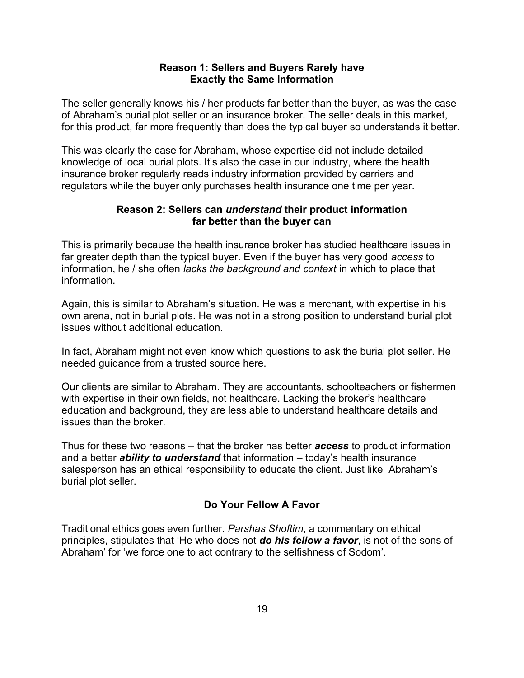#### **Reason 1: Sellers and Buyers Rarely have Exactly the Same Information**

The seller generally knows his / her products far better than the buyer, as was the case of Abraham's burial plot seller or an insurance broker. The seller deals in this market, for this product, far more frequently than does the typical buyer so understands it better.

This was clearly the case for Abraham, whose expertise did not include detailed knowledge of local burial plots. It's also the case in our industry, where the health insurance broker regularly reads industry information provided by carriers and regulators while the buyer only purchases health insurance one time per year.

## **Reason 2: Sellers can** *understand* **their product information far better than the buyer can**

This is primarily because the health insurance broker has studied healthcare issues in far greater depth than the typical buyer. Even if the buyer has very good *access* to information, he / she often *lacks the background and context* in which to place that information.

Again, this is similar to Abraham's situation. He was a merchant, with expertise in his own arena, not in burial plots. He was not in a strong position to understand burial plot issues without additional education.

In fact, Abraham might not even know which questions to ask the burial plot seller. He needed guidance from a trusted source here.

Our clients are similar to Abraham. They are accountants, schoolteachers or fishermen with expertise in their own fields, not healthcare. Lacking the broker's healthcare education and background, they are less able to understand healthcare details and issues than the broker.

Thus for these two reasons – that the broker has better *access* to product information and a better *ability to understand* that information – today's health insurance salesperson has an ethical responsibility to educate the client. Just like Abraham's burial plot seller.

## **Do Your Fellow A Favor**

Traditional ethics goes even further. *Parshas Shoftim*, a commentary on ethical principles, stipulates that 'He who does not *do his fellow a favor*, is not of the sons of Abraham' for 'we force one to act contrary to the selfishness of Sodom'.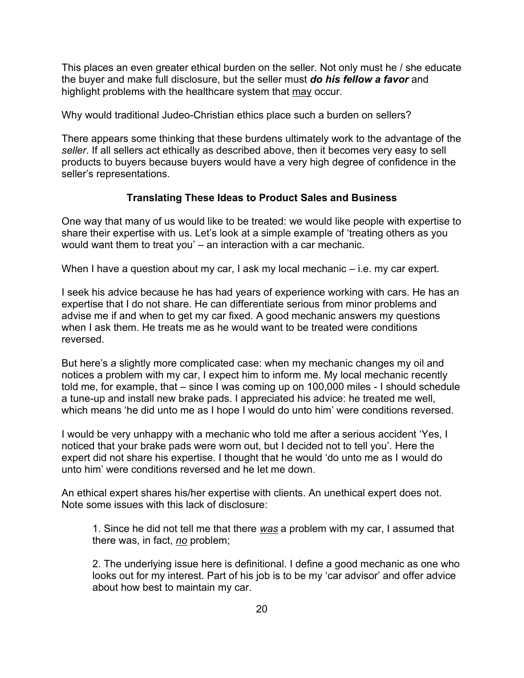This places an even greater ethical burden on the seller. Not only must he / she educate the buyer and make full disclosure, but the seller must *do his fellow a favor* and highlight problems with the healthcare system that may occur.

Why would traditional Judeo-Christian ethics place such a burden on sellers?

There appears some thinking that these burdens ultimately work to the advantage of the *seller*. If all sellers act ethically as described above, then it becomes very easy to sell products to buyers because buyers would have a very high degree of confidence in the seller's representations.

## **Translating These Ideas to Product Sales and Business**

One way that many of us would like to be treated: we would like people with expertise to share their expertise with us. Let's look at a simple example of 'treating others as you would want them to treat you' – an interaction with a car mechanic.

When I have a question about my car, I ask my local mechanic – i.e. my car expert.

I seek his advice because he has had years of experience working with cars. He has an expertise that I do not share. He can differentiate serious from minor problems and advise me if and when to get my car fixed. A good mechanic answers my questions when I ask them. He treats me as he would want to be treated were conditions reversed.

But here's a slightly more complicated case: when my mechanic changes my oil and notices a problem with my car, I expect him to inform me. My local mechanic recently told me, for example, that – since I was coming up on 100,000 miles - I should schedule a tune-up and install new brake pads. I appreciated his advice: he treated me well, which means 'he did unto me as I hope I would do unto him' were conditions reversed.

I would be very unhappy with a mechanic who told me after a serious accident 'Yes, I noticed that your brake pads were worn out, but I decided not to tell you'. Here the expert did not share his expertise. I thought that he would 'do unto me as I would do unto him' were conditions reversed and he let me down.

An ethical expert shares his/her expertise with clients. An unethical expert does not. Note some issues with this lack of disclosure:

1. Since he did not tell me that there *was* a problem with my car, I assumed that there was, in fact, *no* problem;

2. The underlying issue here is definitional. I define a good mechanic as one who looks out for my interest. Part of his job is to be my 'car advisor' and offer advice about how best to maintain my car.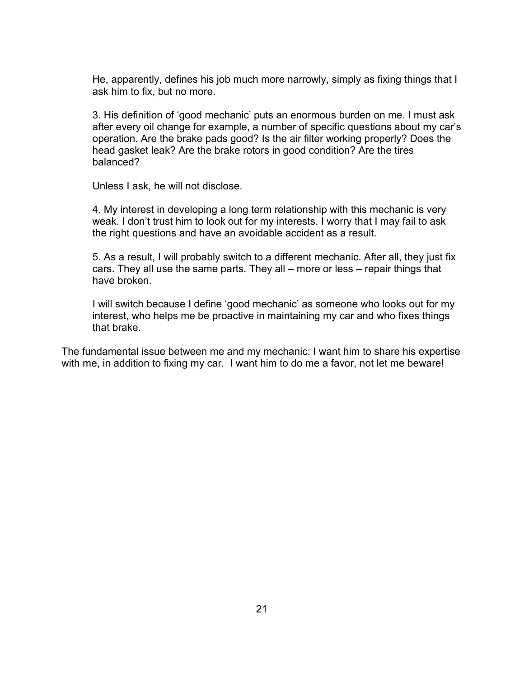He, apparently, defines his job much more narrowly, simply as fixing things that I ask him to fix, but no more.

3. His definition of 'good mechanic' puts an enormous burden on me. I must ask after every oil change for example, a number of specific questions about my car's operation. Are the brake pads good? Is the air filter working properly? Does the head gasket leak? Are the brake rotors in good condition? Are the tires balanced?

Unless I ask, he will not disclose.

4. My interest in developing a long term relationship with this mechanic is very weak. I don't trust him to look out for my interests. I worry that I may fail to ask the right questions and have an avoidable accident as a result.

5. As a result, I will probably switch to a different mechanic. After all, they just fix cars. They all use the same parts. They all – more or less – repair things that have broken.

I will switch because I define 'good mechanic' as someone who looks out for my interest, who helps me be proactive in maintaining my car and who fixes things that brake.

The fundamental issue between me and my mechanic: I want him to share his expertise with me, in addition to fixing my car. I want him to do me a favor, not let me beware!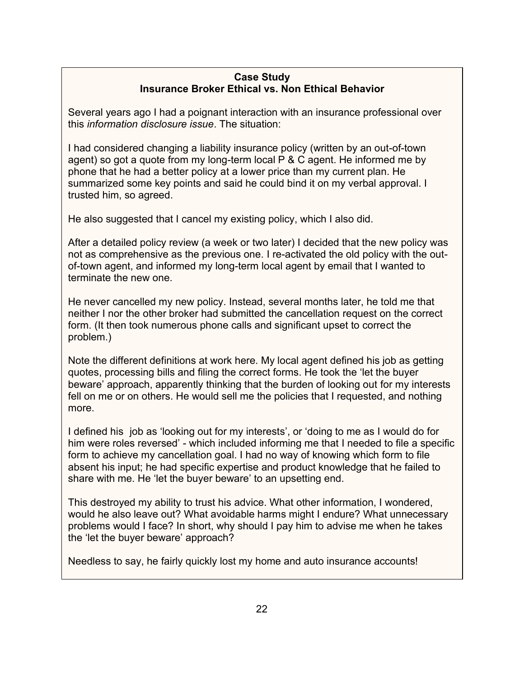## **Case Study Insurance Broker Ethical vs. Non Ethical Behavior**

Several years ago I had a poignant interaction with an insurance professional over this *information disclosure issue*. The situation:

I had considered changing a liability insurance policy (written by an out-of-town agent) so got a quote from my long-term local P & C agent. He informed me by phone that he had a better policy at a lower price than my current plan. He summarized some key points and said he could bind it on my verbal approval. I trusted him, so agreed.

He also suggested that I cancel my existing policy, which I also did.

After a detailed policy review (a week or two later) I decided that the new policy was not as comprehensive as the previous one. I re-activated the old policy with the outof-town agent, and informed my long-term local agent by email that I wanted to terminate the new one.

He never cancelled my new policy. Instead, several months later, he told me that neither I nor the other broker had submitted the cancellation request on the correct form. (It then took numerous phone calls and significant upset to correct the problem.)

Note the different definitions at work here. My local agent defined his job as getting quotes, processing bills and filing the correct forms. He took the 'let the buyer beware' approach, apparently thinking that the burden of looking out for my interests fell on me or on others. He would sell me the policies that I requested, and nothing more.

I defined his job as 'looking out for my interests', or 'doing to me as I would do for him were roles reversed' - which included informing me that I needed to file a specific form to achieve my cancellation goal. I had no way of knowing which form to file absent his input; he had specific expertise and product knowledge that he failed to share with me. He 'let the buyer beware' to an upsetting end.

This destroyed my ability to trust his advice. What other information, I wondered, would he also leave out? What avoidable harms might I endure? What unnecessary problems would I face? In short, why should I pay him to advise me when he takes the 'let the buyer beware' approach?

Needless to say, he fairly quickly lost my home and auto insurance accounts!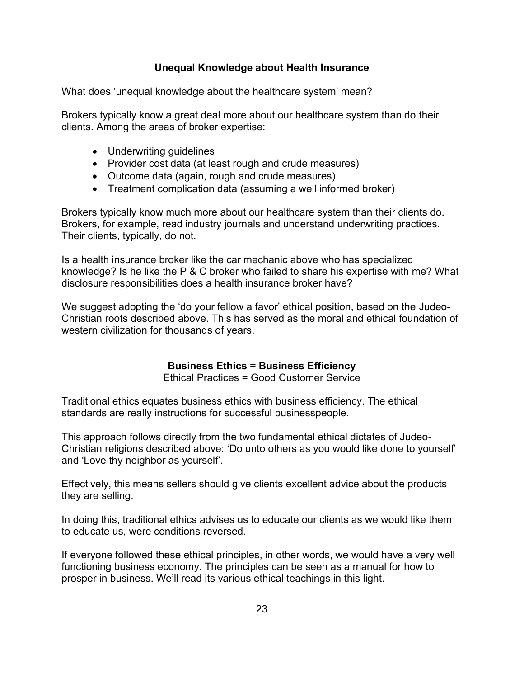## **Unequal Knowledge about Health Insurance**

What does 'unequal knowledge about the healthcare system' mean?

Brokers typically know a great deal more about our healthcare system than do their clients. Among the areas of broker expertise:

- Underwriting guidelines
- Provider cost data (at least rough and crude measures)
- Outcome data (again, rough and crude measures)
- Treatment complication data (assuming a well informed broker)

Brokers typically know much more about our healthcare system than their clients do. Brokers, for example, read industry journals and understand underwriting practices. Their clients, typically, do not.

Is a health insurance broker like the car mechanic above who has specialized knowledge? Is he like the P & C broker who failed to share his expertise with me? What disclosure responsibilities does a health insurance broker have?

We suggest adopting the 'do your fellow a favor' ethical position, based on the Judeo-Christian roots described above. This has served as the moral and ethical foundation of western civilization for thousands of years.

## **Business Ethics = Business Efficiency**

Ethical Practices = Good Customer Service

Traditional ethics equates business ethics with business efficiency. The ethical standards are really instructions for successful businesspeople.

This approach follows directly from the two fundamental ethical dictates of Judeo-Christian religions described above: 'Do unto others as you would like done to yourself' and 'Love thy neighbor as yourself'.

Effectively, this means sellers should give clients excellent advice about the products they are selling.

In doing this, traditional ethics advises us to educate our clients as we would like them to educate us, were conditions reversed.

If everyone followed these ethical principles, in other words, we would have a very well functioning business economy. The principles can be seen as a manual for how to prosper in business. We'll read its various ethical teachings in this light.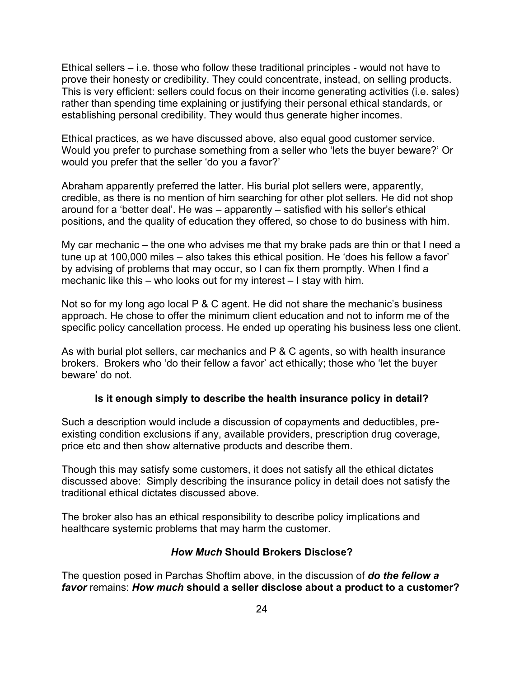Ethical sellers – i.e. those who follow these traditional principles - would not have to prove their honesty or credibility. They could concentrate, instead, on selling products. This is very efficient: sellers could focus on their income generating activities (i.e. sales) rather than spending time explaining or justifying their personal ethical standards, or establishing personal credibility. They would thus generate higher incomes.

Ethical practices, as we have discussed above, also equal good customer service. Would you prefer to purchase something from a seller who 'lets the buyer beware?' Or would you prefer that the seller 'do you a favor?'

Abraham apparently preferred the latter. His burial plot sellers were, apparently, credible, as there is no mention of him searching for other plot sellers. He did not shop around for a 'better deal'. He was – apparently – satisfied with his seller's ethical positions, and the quality of education they offered, so chose to do business with him.

My car mechanic – the one who advises me that my brake pads are thin or that I need a tune up at 100,000 miles – also takes this ethical position. He 'does his fellow a favor' by advising of problems that may occur, so I can fix them promptly. When I find a mechanic like this – who looks out for my interest – I stay with him.

Not so for my long ago local P & C agent. He did not share the mechanic's business approach. He chose to offer the minimum client education and not to inform me of the specific policy cancellation process. He ended up operating his business less one client.

As with burial plot sellers, car mechanics and  $P \& C$  agents, so with health insurance brokers. Brokers who 'do their fellow a favor' act ethically; those who 'let the buyer beware' do not.

## **Is it enough simply to describe the health insurance policy in detail?**

Such a description would include a discussion of copayments and deductibles, preexisting condition exclusions if any, available providers, prescription drug coverage, price etc and then show alternative products and describe them.

Though this may satisfy some customers, it does not satisfy all the ethical dictates discussed above: Simply describing the insurance policy in detail does not satisfy the traditional ethical dictates discussed above.

The broker also has an ethical responsibility to describe policy implications and healthcare systemic problems that may harm the customer.

#### *How Much* **Should Brokers Disclose?**

The question posed in Parchas Shoftim above, in the discussion of *do the fellow a favor* remains: *How much* **should a seller disclose about a product to a customer?**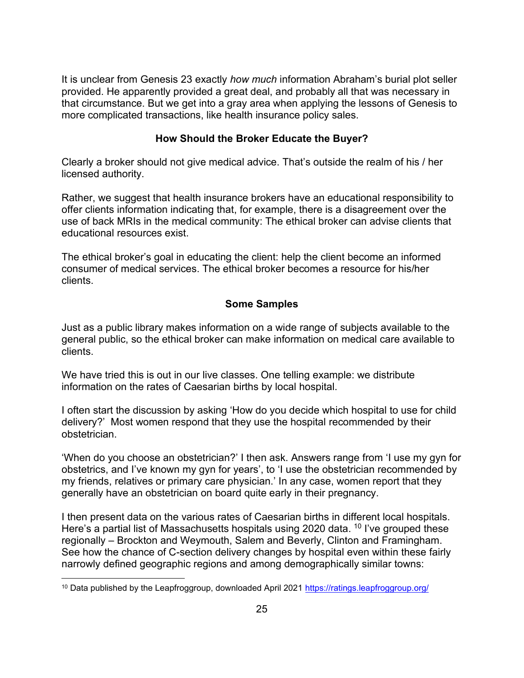It is unclear from Genesis 23 exactly *how much* information Abraham's burial plot seller provided. He apparently provided a great deal, and probably all that was necessary in that circumstance. But we get into a gray area when applying the lessons of Genesis to more complicated transactions, like health insurance policy sales.

## **How Should the Broker Educate the Buyer?**

Clearly a broker should not give medical advice. That's outside the realm of his / her licensed authority.

Rather, we suggest that health insurance brokers have an educational responsibility to offer clients information indicating that, for example, there is a disagreement over the use of back MRIs in the medical community: The ethical broker can advise clients that educational resources exist.

The ethical broker's goal in educating the client: help the client become an informed consumer of medical services. The ethical broker becomes a resource for his/her clients.

## **Some Samples**

Just as a public library makes information on a wide range of subjects available to the general public, so the ethical broker can make information on medical care available to clients.

We have tried this is out in our live classes. One telling example: we distribute information on the rates of Caesarian births by local hospital.

I often start the discussion by asking 'How do you decide which hospital to use for child delivery?' Most women respond that they use the hospital recommended by their obstetrician.

'When do you choose an obstetrician?' I then ask. Answers range from 'I use my gyn for obstetrics, and I've known my gyn for years', to 'I use the obstetrician recommended by my friends, relatives or primary care physician.' In any case, women report that they generally have an obstetrician on board quite early in their pregnancy.

I then present data on the various rates of Caesarian births in different local hospitals. Here's a partial list of Massachusetts hospitals using 2020 data. <sup>10</sup> I've grouped these regionally – Brockton and Weymouth, Salem and Beverly, Clinton and Framingham. See how the chance of C-section delivery changes by hospital even within these fairly narrowly defined geographic regions and among demographically similar towns:

<sup>&</sup>lt;sup>10</sup> Data published by the Leapfroggroup, downloaded April 2021<https://ratings.leapfroggroup.org/>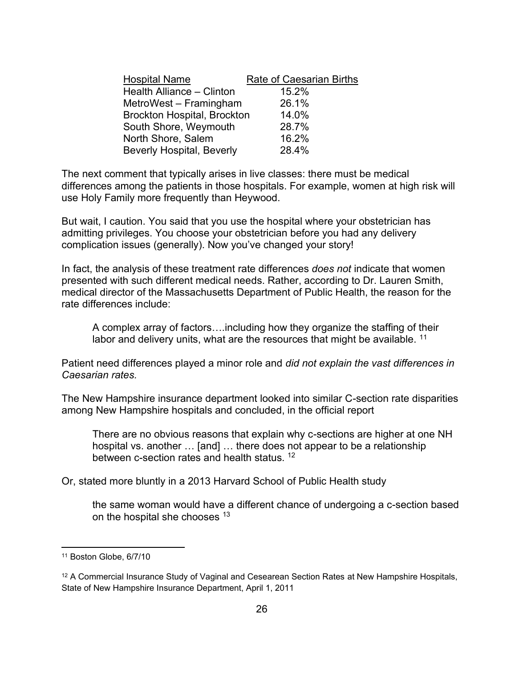| <b>Hospital Name</b>               | <b>Rate of Caesarian Births</b> |
|------------------------------------|---------------------------------|
| Health Alliance - Clinton          | 15.2%                           |
| MetroWest – Framingham             | 26.1%                           |
| <b>Brockton Hospital, Brockton</b> | 14.0%                           |
| South Shore, Weymouth              | 28.7%                           |
| North Shore, Salem                 | 16.2%                           |
| <b>Beverly Hospital, Beverly</b>   | 28.4%                           |

The next comment that typically arises in live classes: there must be medical differences among the patients in those hospitals. For example, women at high risk will use Holy Family more frequently than Heywood.

But wait, I caution. You said that you use the hospital where your obstetrician has admitting privileges. You choose your obstetrician before you had any delivery complication issues (generally). Now you've changed your story!

In fact, the analysis of these treatment rate differences *does not* indicate that women presented with such different medical needs. Rather, according to Dr. Lauren Smith, medical director of the Massachusetts Department of Public Health, the reason for the rate differences include:

A complex array of factors….including how they organize the staffing of their labor and delivery units, what are the resources that might be available.  $11$ 

Patient need differences played a minor role and *did not explain the vast differences in Caesarian rates.*

The New Hampshire insurance department looked into similar C-section rate disparities among New Hampshire hospitals and concluded, in the official report

There are no obvious reasons that explain why c-sections are higher at one NH hospital vs. another … [and] … there does not appear to be a relationship between c-section rates and health status.<sup>12</sup>

Or, stated more bluntly in a 2013 Harvard School of Public Health study

the same woman would have a different chance of undergoing a c-section based on the hospital she chooses <sup>13</sup>

<sup>11</sup> Boston Globe, 6/7/10

<sup>&</sup>lt;sup>12</sup> A Commercial Insurance Study of Vaginal and Cesearean Section Rates at New Hampshire Hospitals, State of New Hampshire Insurance Department, April 1, 2011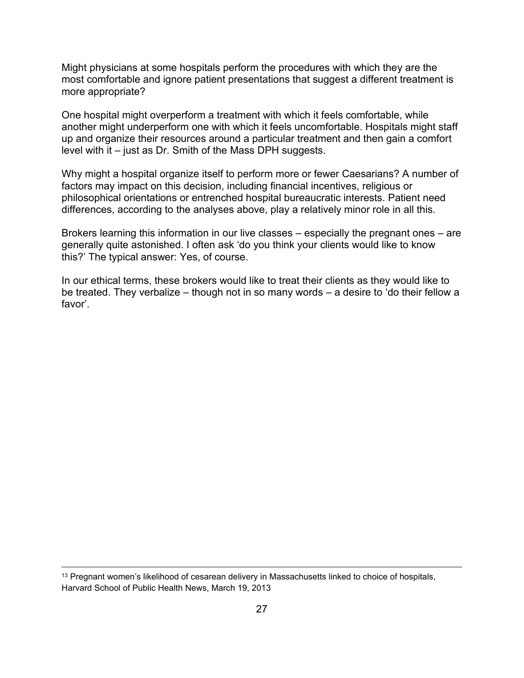Might physicians at some hospitals perform the procedures with which they are the most comfortable and ignore patient presentations that suggest a different treatment is more appropriate?

One hospital might overperform a treatment with which it feels comfortable, while another might underperform one with which it feels uncomfortable. Hospitals might staff up and organize their resources around a particular treatment and then gain a comfort level with it – just as Dr. Smith of the Mass DPH suggests.

Why might a hospital organize itself to perform more or fewer Caesarians? A number of factors may impact on this decision, including financial incentives, religious or philosophical orientations or entrenched hospital bureaucratic interests. Patient need differences, according to the analyses above, play a relatively minor role in all this.

Brokers learning this information in our live classes – especially the pregnant ones – are generally quite astonished. I often ask 'do you think your clients would like to know this?' The typical answer: Yes, of course.

In our ethical terms, these brokers would like to treat their clients as they would like to be treated. They verbalize – though not in so many words – a desire to 'do their fellow a favor'.

<sup>&</sup>lt;sup>13</sup> Pregnant women's likelihood of cesarean delivery in Massachusetts linked to choice of hospitals, Harvard School of Public Health News, March 19, 2013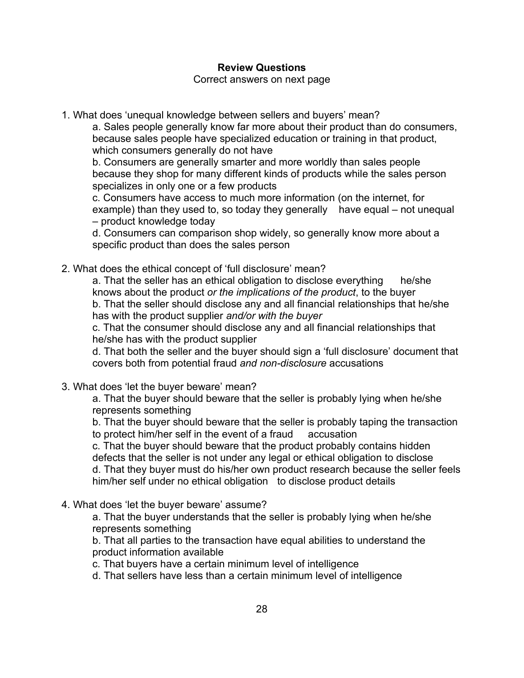## **Review Questions**

Correct answers on next page

1. What does 'unequal knowledge between sellers and buyers' mean?

a. Sales people generally know far more about their product than do consumers, because sales people have specialized education or training in that product, which consumers generally do not have

b. Consumers are generally smarter and more worldly than sales people because they shop for many different kinds of products while the sales person specializes in only one or a few products

c. Consumers have access to much more information (on the internet, for example) than they used to, so today they generally have equal – not unequal – product knowledge today

d. Consumers can comparison shop widely, so generally know more about a specific product than does the sales person

2. What does the ethical concept of 'full disclosure' mean?

a. That the seller has an ethical obligation to disclose everything he/she knows about the product *or the implications of the product*, to the buyer b. That the seller should disclose any and all financial relationships that he/she has with the product supplier *and/or with the buyer*

c. That the consumer should disclose any and all financial relationships that he/she has with the product supplier

d. That both the seller and the buyer should sign a 'full disclosure' document that covers both from potential fraud *and non-disclosure* accusations

3. What does 'let the buyer beware' mean?

a. That the buyer should beware that the seller is probably lying when he/she represents something

b. That the buyer should beware that the seller is probably taping the transaction to protect him/her self in the event of a fraud accusation

c. That the buyer should beware that the product probably contains hidden defects that the seller is not under any legal or ethical obligation to disclose d. That they buyer must do his/her own product research because the seller feels him/her self under no ethical obligation to disclose product details

4. What does 'let the buyer beware' assume?

a. That the buyer understands that the seller is probably lying when he/she represents something

b. That all parties to the transaction have equal abilities to understand the product information available

c. That buyers have a certain minimum level of intelligence

d. That sellers have less than a certain minimum level of intelligence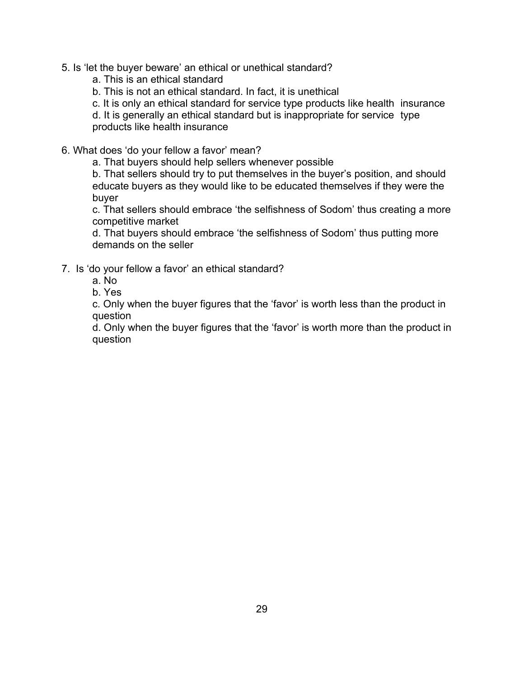5. Is 'let the buyer beware' an ethical or unethical standard?

a. This is an ethical standard

b. This is not an ethical standard. In fact, it is unethical

c. It is only an ethical standard for service type products like health insurance

d. It is generally an ethical standard but is inappropriate for service type products like health insurance

6. What does 'do your fellow a favor' mean?

a. That buyers should help sellers whenever possible

b. That sellers should try to put themselves in the buyer's position, and should educate buyers as they would like to be educated themselves if they were the buyer

c. That sellers should embrace 'the selfishness of Sodom' thus creating a more competitive market

d. That buyers should embrace 'the selfishness of Sodom' thus putting more demands on the seller

- 7. Is 'do your fellow a favor' an ethical standard?
	- a. No
	- b. Yes

c. Only when the buyer figures that the 'favor' is worth less than the product in question

d. Only when the buyer figures that the 'favor' is worth more than the product in question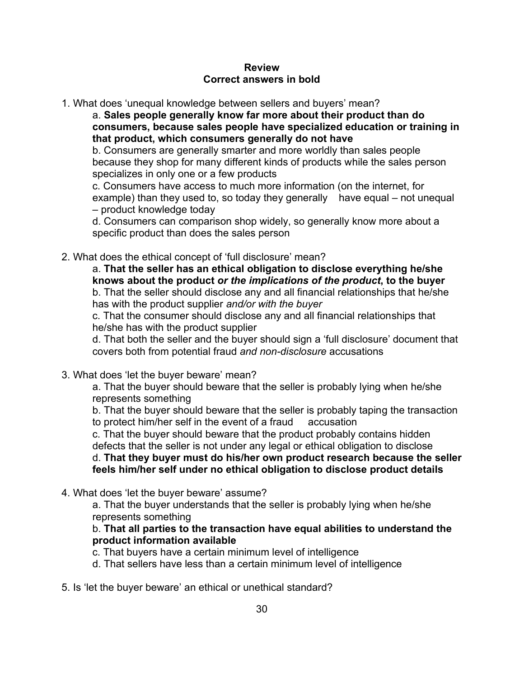#### **Review Correct answers in bold**

1. What does 'unequal knowledge between sellers and buyers' mean?

a. **Sales people generally know far more about their product than do consumers, because sales people have specialized education or training in that product, which consumers generally do not have**

b. Consumers are generally smarter and more worldly than sales people because they shop for many different kinds of products while the sales person specializes in only one or a few products

c. Consumers have access to much more information (on the internet, for example) than they used to, so today they generally have equal – not unequal – product knowledge today

d. Consumers can comparison shop widely, so generally know more about a specific product than does the sales person

2. What does the ethical concept of 'full disclosure' mean?

a. **That the seller has an ethical obligation to disclose everything he/she knows about the product** *or the implications of the product***, to the buyer** b. That the seller should disclose any and all financial relationships that he/she has with the product supplier *and/or with the buyer*

c. That the consumer should disclose any and all financial relationships that he/she has with the product supplier

d. That both the seller and the buyer should sign a 'full disclosure' document that covers both from potential fraud *and non-disclosure* accusations

3. What does 'let the buyer beware' mean?

a. That the buyer should beware that the seller is probably lying when he/she represents something

b. That the buyer should beware that the seller is probably taping the transaction to protect him/her self in the event of a fraud accusation

c. That the buyer should beware that the product probably contains hidden defects that the seller is not under any legal or ethical obligation to disclose

d. **That they buyer must do his/her own product research because the seller feels him/her self under no ethical obligation to disclose product details**

4. What does 'let the buyer beware' assume?

a. That the buyer understands that the seller is probably lying when he/she represents something

## b. **That all parties to the transaction have equal abilities to understand the product information available**

- c. That buyers have a certain minimum level of intelligence
- d. That sellers have less than a certain minimum level of intelligence
- 5. Is 'let the buyer beware' an ethical or unethical standard?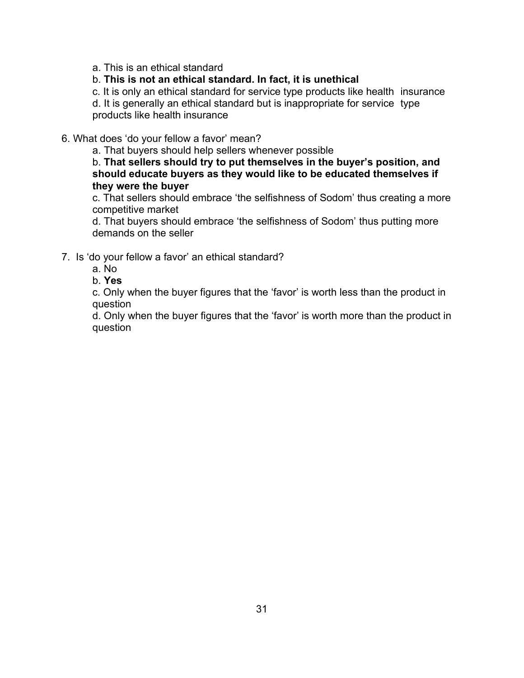a. This is an ethical standard

#### b. **This is not an ethical standard. In fact, it is unethical**

c. It is only an ethical standard for service type products like health insurance

d. It is generally an ethical standard but is inappropriate for service type products like health insurance

#### 6. What does 'do your fellow a favor' mean?

a. That buyers should help sellers whenever possible

b. **That sellers should try to put themselves in the buyer's position, and should educate buyers as they would like to be educated themselves if they were the buyer**

c. That sellers should embrace 'the selfishness of Sodom' thus creating a more competitive market

d. That buyers should embrace 'the selfishness of Sodom' thus putting more demands on the seller

### 7. Is 'do your fellow a favor' an ethical standard?

- a. No
- b. **Yes**

c. Only when the buyer figures that the 'favor' is worth less than the product in question

d. Only when the buyer figures that the 'favor' is worth more than the product in question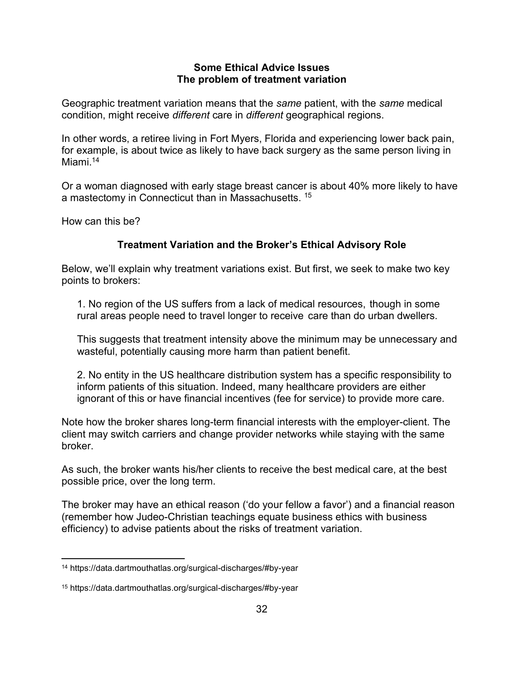#### **Some Ethical Advice Issues The problem of treatment variation**

Geographic treatment variation means that the *same* patient, with the *same* medical condition, might receive *different* care in *different* geographical regions.

In other words, a retiree living in Fort Myers, Florida and experiencing lower back pain, for example, is about twice as likely to have back surgery as the same person living in Miami<sup>14</sup>

Or a woman diagnosed with early stage breast cancer is about 40% more likely to have a mastectomy in Connecticut than in Massachusetts. <sup>15</sup>

How can this be?

## **Treatment Variation and the Broker's Ethical Advisory Role**

Below, we'll explain why treatment variations exist. But first, we seek to make two key points to brokers:

1. No region of the US suffers from a lack of medical resources, though in some rural areas people need to travel longer to receive care than do urban dwellers.

This suggests that treatment intensity above the minimum may be unnecessary and wasteful, potentially causing more harm than patient benefit.

2. No entity in the US healthcare distribution system has a specific responsibility to inform patients of this situation. Indeed, many healthcare providers are either ignorant of this or have financial incentives (fee for service) to provide more care.

Note how the broker shares long-term financial interests with the employer-client. The client may switch carriers and change provider networks while staying with the same broker.

As such, the broker wants his/her clients to receive the best medical care, at the best possible price, over the long term.

The broker may have an ethical reason ('do your fellow a favor') and a financial reason (remember how Judeo-Christian teachings equate business ethics with business efficiency) to advise patients about the risks of treatment variation.

<sup>14</sup> https://data.dartmouthatlas.org/surgical-discharges/#by-year

<sup>15</sup> https://data.dartmouthatlas.org/surgical-discharges/#by-year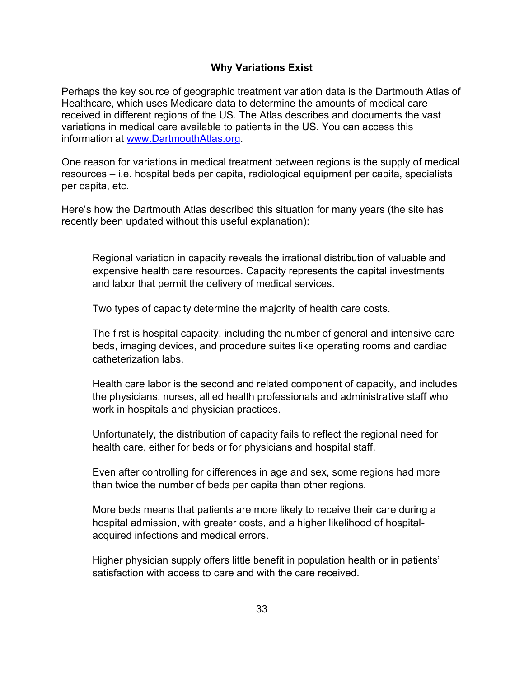## **Why Variations Exist**

Perhaps the key source of geographic treatment variation data is the Dartmouth Atlas of Healthcare, which uses Medicare data to determine the amounts of medical care received in different regions of the US. The Atlas describes and documents the vast variations in medical care available to patients in the US. You can access this information at [www.DartmouthAtlas.org.](http://www.dartmouthatlas.org/)

One reason for variations in medical treatment between regions is the supply of medical resources – i.e. hospital beds per capita, radiological equipment per capita, specialists per capita, etc.

Here's how the Dartmouth Atlas described this situation for many years (the site has recently been updated without this useful explanation):

Regional variation in capacity reveals the irrational distribution of valuable and expensive health care resources. Capacity represents the capital investments and labor that permit the delivery of medical services.

Two types of capacity determine the majority of health care costs.

The first is hospital capacity, including the number of general and intensive care beds, imaging devices, and procedure suites like operating rooms and cardiac catheterization labs.

Health care labor is the second and related component of capacity, and includes the physicians, nurses, allied health professionals and administrative staff who work in hospitals and physician practices.

Unfortunately, the distribution of capacity fails to reflect the regional need for health care, either for beds or for physicians and hospital staff.

Even after controlling for differences in age and sex, some regions had more than twice the number of beds per capita than other regions.

More beds means that patients are more likely to receive their care during a hospital admission, with greater costs, and a higher likelihood of hospitalacquired infections and medical errors.

Higher physician supply offers little benefit in population health or in patients' satisfaction with access to care and with the care received.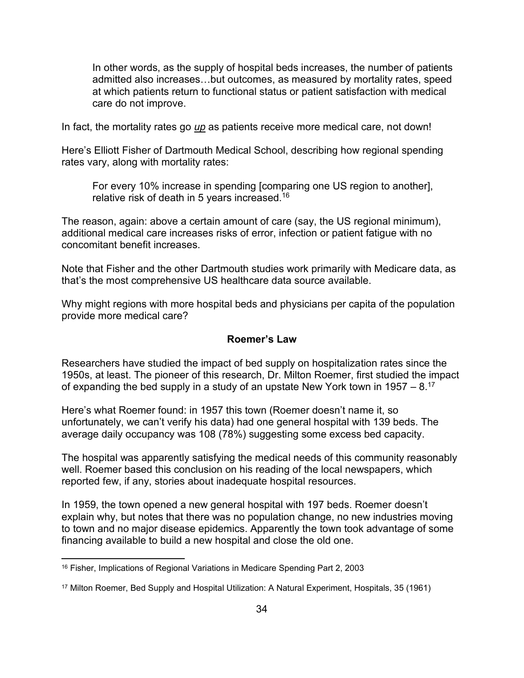In other words, as the supply of hospital beds increases, the number of patients admitted also increases…but outcomes, as measured by mortality rates, speed at which patients return to functional status or patient satisfaction with medical care do not improve.

In fact, the mortality rates go *up* as patients receive more medical care, not down!

Here's Elliott Fisher of Dartmouth Medical School, describing how regional spending rates vary, along with mortality rates:

For every 10% increase in spending [comparing one US region to another], relative risk of death in 5 years increased.<sup>16</sup>

The reason, again: above a certain amount of care (say, the US regional minimum), additional medical care increases risks of error, infection or patient fatigue with no concomitant benefit increases.

Note that Fisher and the other Dartmouth studies work primarily with Medicare data, as that's the most comprehensive US healthcare data source available.

Why might regions with more hospital beds and physicians per capita of the population provide more medical care?

## **Roemer's Law**

Researchers have studied the impact of bed supply on hospitalization rates since the 1950s, at least. The pioneer of this research, Dr. Milton Roemer, first studied the impact of expanding the bed supply in a study of an upstate New York town in 1957 –  $8.17$ 

Here's what Roemer found: in 1957 this town (Roemer doesn't name it, so unfortunately, we can't verify his data) had one general hospital with 139 beds. The average daily occupancy was 108 (78%) suggesting some excess bed capacity.

The hospital was apparently satisfying the medical needs of this community reasonably well. Roemer based this conclusion on his reading of the local newspapers, which reported few, if any, stories about inadequate hospital resources.

In 1959, the town opened a new general hospital with 197 beds. Roemer doesn't explain why, but notes that there was no population change, no new industries moving to town and no major disease epidemics. Apparently the town took advantage of some financing available to build a new hospital and close the old one.

<sup>&</sup>lt;sup>16</sup> Fisher, Implications of Regional Variations in Medicare Spending Part 2, 2003

<sup>17</sup> Milton Roemer, Bed Supply and Hospital Utilization: A Natural Experiment, Hospitals, 35 (1961)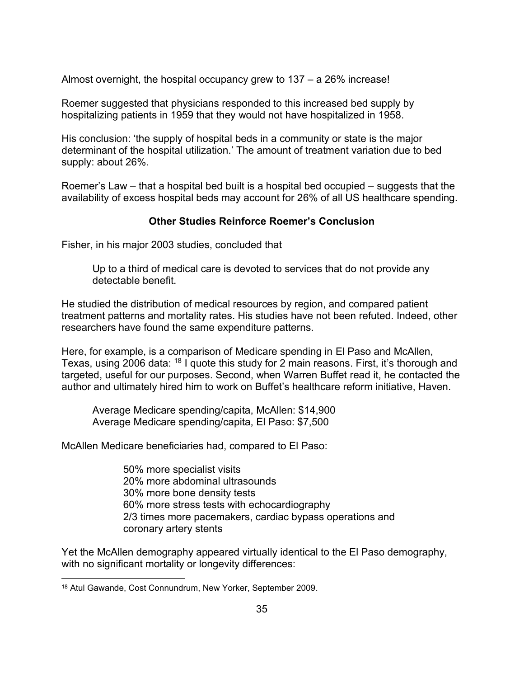Almost overnight, the hospital occupancy grew to 137 – a 26% increase!

Roemer suggested that physicians responded to this increased bed supply by hospitalizing patients in 1959 that they would not have hospitalized in 1958.

His conclusion: 'the supply of hospital beds in a community or state is the major determinant of the hospital utilization.' The amount of treatment variation due to bed supply: about 26%.

Roemer's Law – that a hospital bed built is a hospital bed occupied – suggests that the availability of excess hospital beds may account for 26% of all US healthcare spending.

## **Other Studies Reinforce Roemer's Conclusion**

Fisher, in his major 2003 studies, concluded that

Up to a third of medical care is devoted to services that do not provide any detectable benefit.

He studied the distribution of medical resources by region, and compared patient treatment patterns and mortality rates. His studies have not been refuted. Indeed, other researchers have found the same expenditure patterns.

Here, for example, is a comparison of Medicare spending in El Paso and McAllen, Texas, using 2006 data: <sup>18</sup> I quote this study for 2 main reasons. First, it's thorough and targeted, useful for our purposes. Second, when Warren Buffet read it, he contacted the author and ultimately hired him to work on Buffet's healthcare reform initiative, Haven.

Average Medicare spending/capita, McAllen: \$14,900 Average Medicare spending/capita, El Paso: \$7,500

McAllen Medicare beneficiaries had, compared to El Paso:

50% more specialist visits 20% more abdominal ultrasounds 30% more bone density tests 60% more stress tests with echocardiography 2/3 times more pacemakers, cardiac bypass operations and coronary artery stents

Yet the McAllen demography appeared virtually identical to the El Paso demography, with no significant mortality or longevity differences:

<sup>18</sup> Atul Gawande, Cost Connundrum, New Yorker, September 2009.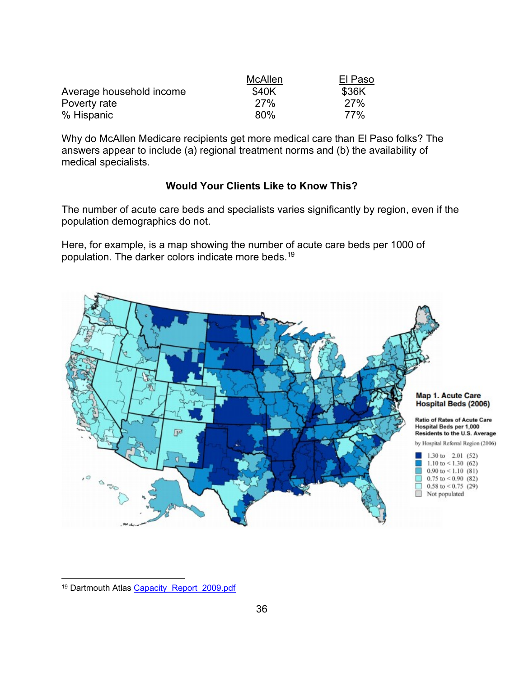|                          | McAllen    | El Paso    |
|--------------------------|------------|------------|
| Average household income | \$40K      | \$36K      |
| Poverty rate             | <b>27%</b> | <b>27%</b> |
| % Hispanic               | 80%        | 77%        |

Why do McAllen Medicare recipients get more medical care than El Paso folks? The answers appear to include (a) regional treatment norms and (b) the availability of medical specialists.

## **Would Your Clients Like to Know This?**

The number of acute care beds and specialists varies significantly by region, even if the population demographics do not.

Here, for example, is a map showing the number of acute care beds per 1000 of population. The darker colors indicate more beds.<sup>19</sup>



<sup>&</sup>lt;sup>19</sup> Dartmouth Atlas [Capacity\\_Report\\_2009.pdf](file:///C:/Users/gfrad/Downloads/Capacity_Report_2009.pdf)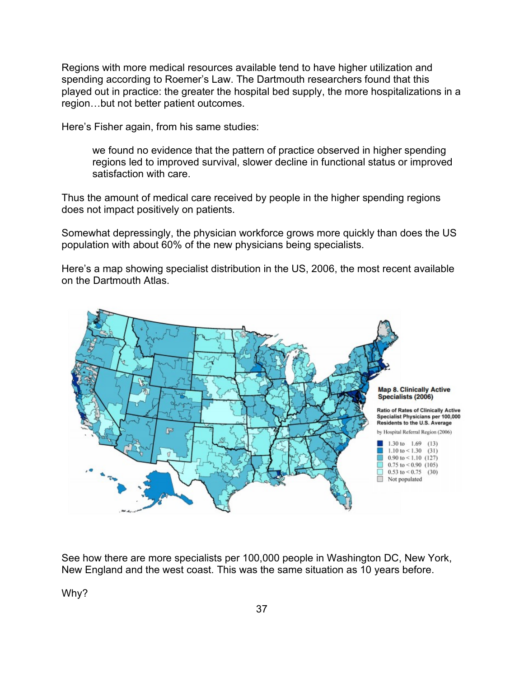Regions with more medical resources available tend to have higher utilization and spending according to Roemer's Law. The Dartmouth researchers found that this played out in practice: the greater the hospital bed supply, the more hospitalizations in a region…but not better patient outcomes.

Here's Fisher again, from his same studies:

we found no evidence that the pattern of practice observed in higher spending regions led to improved survival, slower decline in functional status or improved satisfaction with care.

Thus the amount of medical care received by people in the higher spending regions does not impact positively on patients.

Somewhat depressingly, the physician workforce grows more quickly than does the US population with about 60% of the new physicians being specialists.

Here's a map showing specialist distribution in the US, 2006, the most recent available on the Dartmouth Atlas.



See how there are more specialists per 100,000 people in Washington DC, New York, New England and the west coast. This was the same situation as 10 years before.

Why?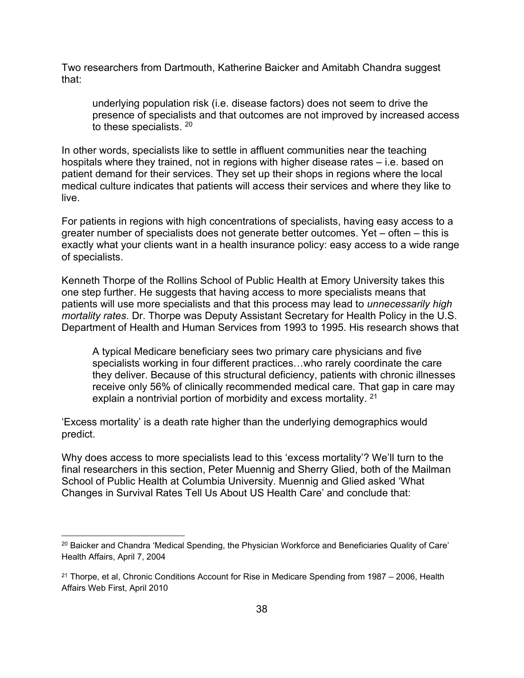Two researchers from Dartmouth, Katherine Baicker and Amitabh Chandra suggest that:

underlying population risk (i.e. disease factors) does not seem to drive the presence of specialists and that outcomes are not improved by increased access to these specialists.  $^{20}$ 

In other words, specialists like to settle in affluent communities near the teaching hospitals where they trained, not in regions with higher disease rates – i.e. based on patient demand for their services. They set up their shops in regions where the local medical culture indicates that patients will access their services and where they like to live.

For patients in regions with high concentrations of specialists, having easy access to a greater number of specialists does not generate better outcomes. Yet – often – this is exactly what your clients want in a health insurance policy: easy access to a wide range of specialists.

Kenneth Thorpe of the Rollins School of Public Health at Emory University takes this one step further. He suggests that having access to more specialists means that patients will use more specialists and that this process may lead to *unnecessarily high mortality rates*. Dr. Thorpe was Deputy Assistant Secretary for Health Policy in the U.S. Department of Health and Human Services from 1993 to 1995. His research shows that

A typical Medicare beneficiary sees two primary care physicians and five specialists working in four different practices…who rarely coordinate the care they deliver. Because of this structural deficiency, patients with chronic illnesses receive only 56% of clinically recommended medical care. That gap in care may explain a nontrivial portion of morbidity and excess mortality. <sup>21</sup>

'Excess mortality' is a death rate higher than the underlying demographics would predict.

Why does access to more specialists lead to this 'excess mortality'? We'll turn to the final researchers in this section, Peter Muennig and Sherry Glied, both of the Mailman School of Public Health at Columbia University. Muennig and Glied asked 'What Changes in Survival Rates Tell Us About US Health Care' and conclude that:

<sup>&</sup>lt;sup>20</sup> Baicker and Chandra 'Medical Spending, the Physician Workforce and Beneficiaries Quality of Care' Health Affairs, April 7, 2004

 $21$  Thorpe, et al, Chronic Conditions Account for Rise in Medicare Spending from 1987 – 2006, Health Affairs Web First, April 2010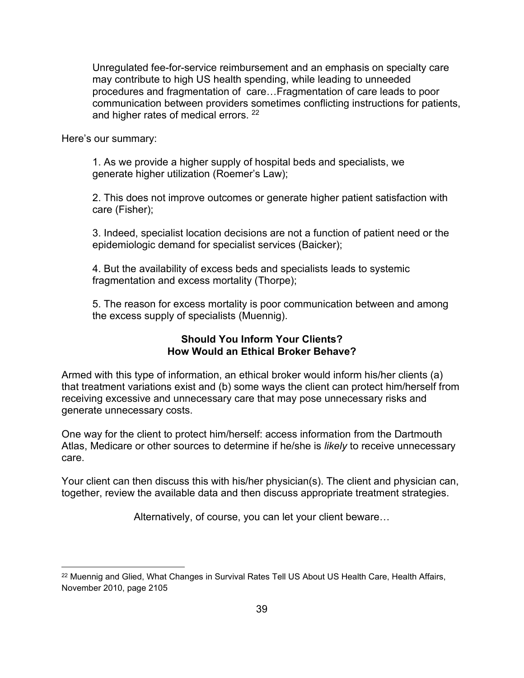Unregulated fee-for-service reimbursement and an emphasis on specialty care may contribute to high US health spending, while leading to unneeded procedures and fragmentation of care…Fragmentation of care leads to poor communication between providers sometimes conflicting instructions for patients, and higher rates of medical errors. 22

Here's our summary:

1. As we provide a higher supply of hospital beds and specialists, we generate higher utilization (Roemer's Law);

2. This does not improve outcomes or generate higher patient satisfaction with care (Fisher);

3. Indeed, specialist location decisions are not a function of patient need or the epidemiologic demand for specialist services (Baicker);

4. But the availability of excess beds and specialists leads to systemic fragmentation and excess mortality (Thorpe);

5. The reason for excess mortality is poor communication between and among the excess supply of specialists (Muennig).

## **Should You Inform Your Clients? How Would an Ethical Broker Behave?**

Armed with this type of information, an ethical broker would inform his/her clients (a) that treatment variations exist and (b) some ways the client can protect him/herself from receiving excessive and unnecessary care that may pose unnecessary risks and generate unnecessary costs.

One way for the client to protect him/herself: access information from the Dartmouth Atlas, Medicare or other sources to determine if he/she is *likely* to receive unnecessary care.

Your client can then discuss this with his/her physician(s). The client and physician can, together, review the available data and then discuss appropriate treatment strategies.

Alternatively, of course, you can let your client beware…

<sup>&</sup>lt;sup>22</sup> Muennig and Glied, What Changes in Survival Rates Tell US About US Health Care, Health Affairs, November 2010, page 2105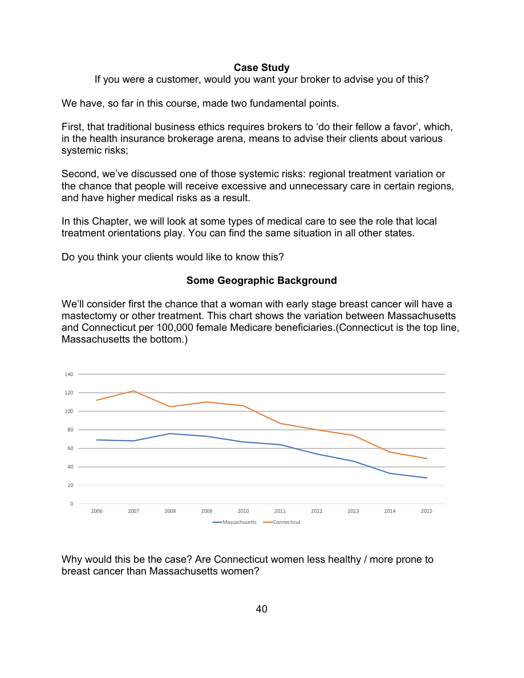#### **Case Study**

If you were a customer, would you want your broker to advise you of this?

We have, so far in this course, made two fundamental points.

First, that traditional business ethics requires brokers to 'do their fellow a favor', which, in the health insurance brokerage arena, means to advise their clients about various systemic risks;

Second, we've discussed one of those systemic risks: regional treatment variation or the chance that people will receive excessive and unnecessary care in certain regions, and have higher medical risks as a result.

In this Chapter, we will look at some types of medical care to see the role that local treatment orientations play. You can find the same situation in all other states.

Do you think your clients would like to know this?

#### **Some Geographic Background**

We'll consider first the chance that a woman with early stage breast cancer will have a mastectomy or other treatment. This chart shows the variation between Massachusetts and Connecticut per 100,000 female Medicare beneficiaries.(Connecticut is the top line, Massachusetts the bottom.)



Why would this be the case? Are Connecticut women less healthy / more prone to breast cancer than Massachusetts women?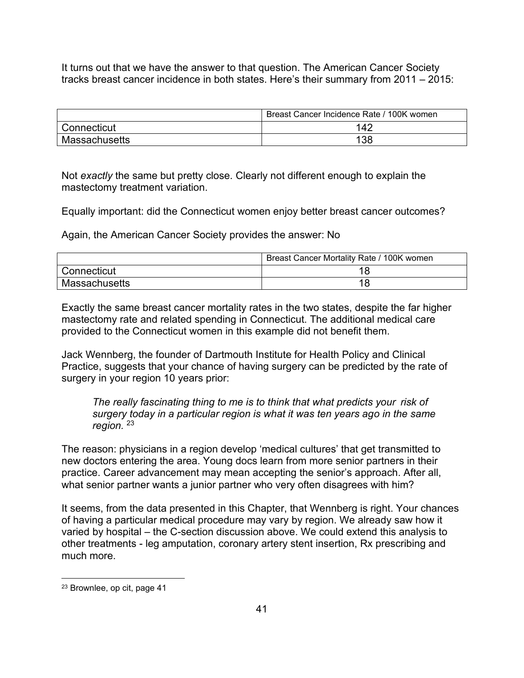It turns out that we have the answer to that question. The American Cancer Society tracks breast cancer incidence in both states. Here's their summary from 2011 – 2015:

|               | Breast Cancer Incidence Rate / 100K women |
|---------------|-------------------------------------------|
| Connecticut   | 142                                       |
| Massachusetts | 138                                       |

Not *exactly* the same but pretty close. Clearly not different enough to explain the mastectomy treatment variation.

Equally important: did the Connecticut women enjoy better breast cancer outcomes?

Again, the American Cancer Society provides the answer: No

|               | Breast Cancer Mortality Rate / 100K women |
|---------------|-------------------------------------------|
| Connecticut   |                                           |
| Massachusetts |                                           |

Exactly the same breast cancer mortality rates in the two states, despite the far higher mastectomy rate and related spending in Connecticut. The additional medical care provided to the Connecticut women in this example did not benefit them.

Jack Wennberg, the founder of Dartmouth Institute for Health Policy and Clinical Practice, suggests that your chance of having surgery can be predicted by the rate of surgery in your region 10 years prior:

*The really fascinating thing to me is to think that what predicts your risk of surgery today in a particular region is what it was ten years ago in the same region.* <sup>23</sup>

The reason: physicians in a region develop 'medical cultures' that get transmitted to new doctors entering the area. Young docs learn from more senior partners in their practice. Career advancement may mean accepting the senior's approach. After all, what senior partner wants a junior partner who very often disagrees with him?

It seems, from the data presented in this Chapter, that Wennberg is right. Your chances of having a particular medical procedure may vary by region. We already saw how it varied by hospital – the C-section discussion above. We could extend this analysis to other treatments - leg amputation, coronary artery stent insertion, Rx prescribing and much more.

<sup>23</sup> Brownlee, op cit, page 41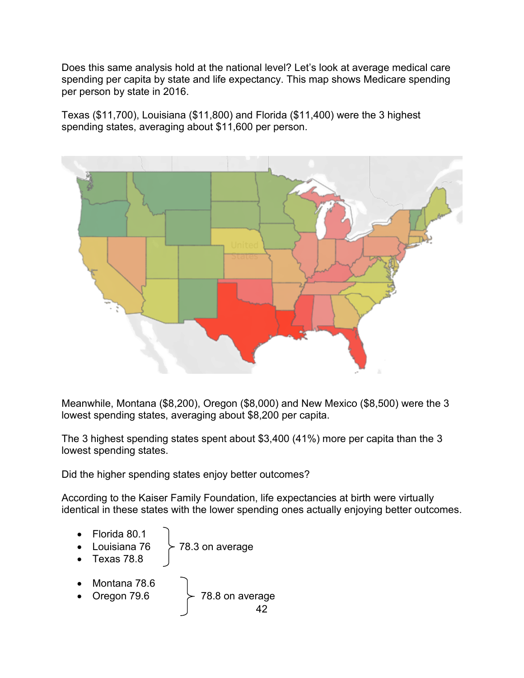Does this same analysis hold at the national level? Let's look at average medical care spending per capita by state and life expectancy. This map shows Medicare spending per person by state in 2016.

Texas (\$11,700), Louisiana (\$11,800) and Florida (\$11,400) were the 3 highest spending states, averaging about \$11,600 per person.



Meanwhile, Montana (\$8,200), Oregon (\$8,000) and New Mexico (\$8,500) were the 3 lowest spending states, averaging about \$8,200 per capita.

The 3 highest spending states spent about \$3,400 (41%) more per capita than the 3 lowest spending states.

Did the higher spending states enjoy better outcomes?

According to the Kaiser Family Foundation, life expectancies at birth were virtually identical in these states with the lower spending ones actually enjoying better outcomes.

- Florida 80.1
- Louisiana 76  $\geq$  78.3 on average
- Texas 78.8
- Montana 78.6
- Oregon 79.6  $\rightarrow$  78.8 on average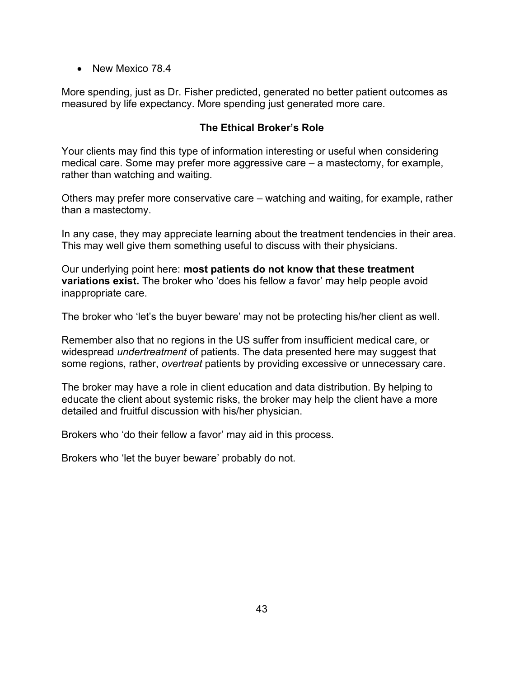• New Mexico 78.4

More spending, just as Dr. Fisher predicted, generated no better patient outcomes as measured by life expectancy. More spending just generated more care.

## **The Ethical Broker's Role**

Your clients may find this type of information interesting or useful when considering medical care. Some may prefer more aggressive care – a mastectomy, for example, rather than watching and waiting.

Others may prefer more conservative care – watching and waiting, for example, rather than a mastectomy.

In any case, they may appreciate learning about the treatment tendencies in their area. This may well give them something useful to discuss with their physicians.

Our underlying point here: **most patients do not know that these treatment variations exist.** The broker who 'does his fellow a favor' may help people avoid inappropriate care.

The broker who 'let's the buyer beware' may not be protecting his/her client as well.

Remember also that no regions in the US suffer from insufficient medical care, or widespread *undertreatment* of patients. The data presented here may suggest that some regions, rather, *overtreat* patients by providing excessive or unnecessary care.

The broker may have a role in client education and data distribution. By helping to educate the client about systemic risks, the broker may help the client have a more detailed and fruitful discussion with his/her physician.

Brokers who 'do their fellow a favor' may aid in this process.

Brokers who 'let the buyer beware' probably do not.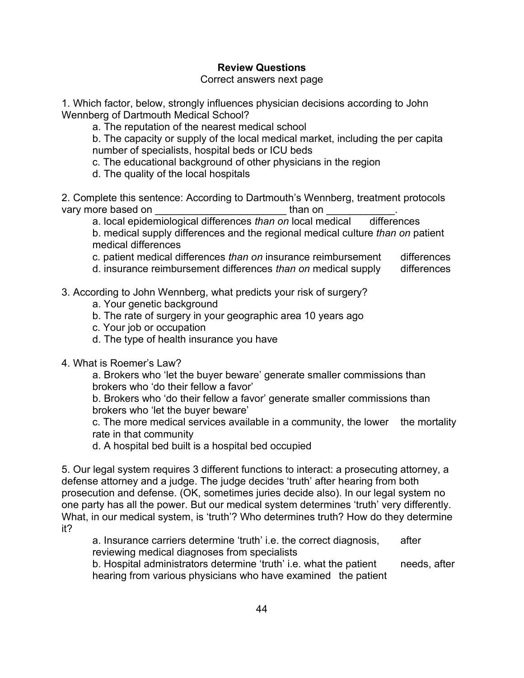## **Review Questions**

#### Correct answers next page

1. Which factor, below, strongly influences physician decisions according to John Wennberg of Dartmouth Medical School?

a. The reputation of the nearest medical school

b. The capacity or supply of the local medical market, including the per capita number of specialists, hospital beds or ICU beds

c. The educational background of other physicians in the region

d. The quality of the local hospitals

2. Complete this sentence: According to Dartmouth's Wennberg, treatment protocols vary more based on example than on than on  $\mathbf{v}$ 

a. local epidemiological differences *than on* local medical differences

b. medical supply differences and the regional medical culture *than on* patient medical differences

c. patient medical differences *than on* insurance reimbursement differences

d. insurance reimbursement differences *than on* medical supply differences

- 3. According to John Wennberg, what predicts your risk of surgery?
	- a. Your genetic background
	- b. The rate of surgery in your geographic area 10 years ago
	- c. Your job or occupation
	- d. The type of health insurance you have
- 4. What is Roemer's Law?

a. Brokers who 'let the buyer beware' generate smaller commissions than brokers who 'do their fellow a favor'

b. Brokers who 'do their fellow a favor' generate smaller commissions than brokers who 'let the buyer beware'

c. The more medical services available in a community, the lower the mortality rate in that community

d. A hospital bed built is a hospital bed occupied

5. Our legal system requires 3 different functions to interact: a prosecuting attorney, a defense attorney and a judge. The judge decides 'truth' after hearing from both prosecution and defense. (OK, sometimes juries decide also). In our legal system no one party has all the power. But our medical system determines 'truth' very differently. What, in our medical system, is 'truth'? Who determines truth? How do they determine it?

a. Insurance carriers determine 'truth' i.e. the correct diagnosis, after reviewing medical diagnoses from specialists

b. Hospital administrators determine 'truth' i.e. what the patient needs, after hearing from various physicians who have examined the patient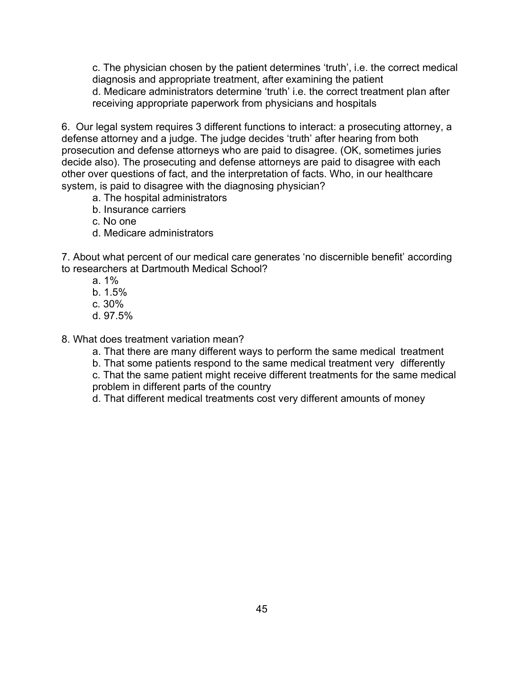c. The physician chosen by the patient determines 'truth', i.e. the correct medical diagnosis and appropriate treatment, after examining the patient d. Medicare administrators determine 'truth' i.e. the correct treatment plan after receiving appropriate paperwork from physicians and hospitals

6. Our legal system requires 3 different functions to interact: a prosecuting attorney, a defense attorney and a judge. The judge decides 'truth' after hearing from both prosecution and defense attorneys who are paid to disagree. (OK, sometimes juries decide also). The prosecuting and defense attorneys are paid to disagree with each other over questions of fact, and the interpretation of facts. Who, in our healthcare system, is paid to disagree with the diagnosing physician?

- a. The hospital administrators
- b. Insurance carriers
- c. No one
- d. Medicare administrators

7. About what percent of our medical care generates 'no discernible benefit' according to researchers at Dartmouth Medical School?

- a. 1%
- b. 1.5%
- c. 30%
- d. 97.5%

8. What does treatment variation mean?

- a. That there are many different ways to perform the same medical treatment
- b. That some patients respond to the same medical treatment very differently

c. That the same patient might receive different treatments for the same medical problem in different parts of the country

d. That different medical treatments cost very different amounts of money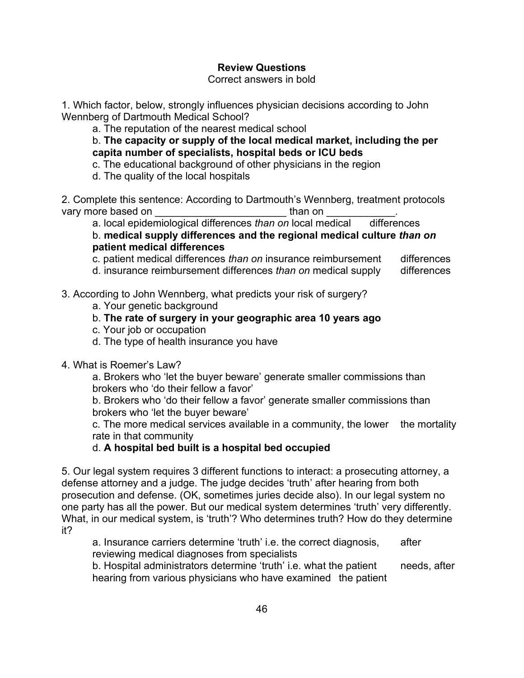## **Review Questions**

#### Correct answers in bold

1. Which factor, below, strongly influences physician decisions according to John Wennberg of Dartmouth Medical School?

a. The reputation of the nearest medical school

b. **The capacity or supply of the local medical market, including the per capita number of specialists, hospital beds or ICU beds**

c. The educational background of other physicians in the region

d. The quality of the local hospitals

2. Complete this sentence: According to Dartmouth's Wennberg, treatment protocols vary more based on example than on than on  $\mathbf{r}$ 

a. local epidemiological differences *than on* local medical differences

b. **medical supply differences and the regional medical culture** *than on* **patient medical differences**

c. patient medical differences *than on* insurance reimbursement differences

d. insurance reimbursement differences *than on* medical supply differences

- 3. According to John Wennberg, what predicts your risk of surgery?
	- a. Your genetic background

## b. **The rate of surgery in your geographic area 10 years ago**

- c. Your job or occupation
- d. The type of health insurance you have

## 4. What is Roemer's Law?

a. Brokers who 'let the buyer beware' generate smaller commissions than brokers who 'do their fellow a favor'

b. Brokers who 'do their fellow a favor' generate smaller commissions than brokers who 'let the buyer beware'

c. The more medical services available in a community, the lower the mortality rate in that community

## d. **A hospital bed built is a hospital bed occupied**

5. Our legal system requires 3 different functions to interact: a prosecuting attorney, a defense attorney and a judge. The judge decides 'truth' after hearing from both prosecution and defense. (OK, sometimes juries decide also). In our legal system no one party has all the power. But our medical system determines 'truth' very differently. What, in our medical system, is 'truth'? Who determines truth? How do they determine it?

a. Insurance carriers determine 'truth' i.e. the correct diagnosis, after reviewing medical diagnoses from specialists

b. Hospital administrators determine 'truth' i.e. what the patient needs, after hearing from various physicians who have examined the patient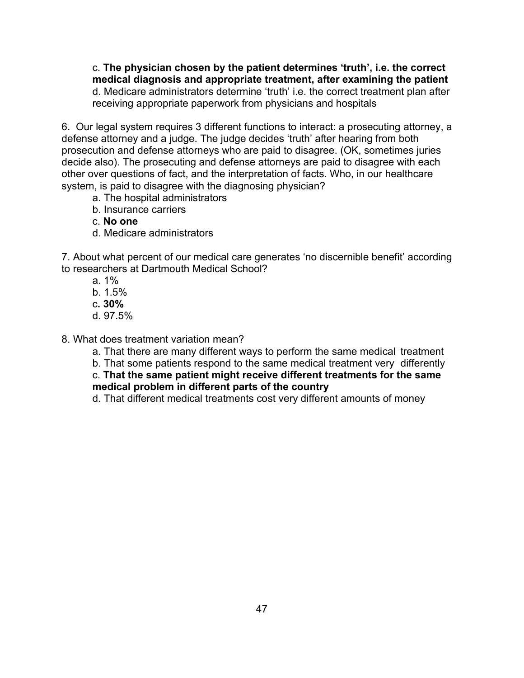c. **The physician chosen by the patient determines 'truth', i.e. the correct medical diagnosis and appropriate treatment, after examining the patient** d. Medicare administrators determine 'truth' i.e. the correct treatment plan after receiving appropriate paperwork from physicians and hospitals

6. Our legal system requires 3 different functions to interact: a prosecuting attorney, a defense attorney and a judge. The judge decides 'truth' after hearing from both prosecution and defense attorneys who are paid to disagree. (OK, sometimes juries decide also). The prosecuting and defense attorneys are paid to disagree with each other over questions of fact, and the interpretation of facts. Who, in our healthcare system, is paid to disagree with the diagnosing physician?

- a. The hospital administrators
- b. Insurance carriers
- c. **No one**
- d. Medicare administrators

7. About what percent of our medical care generates 'no discernible benefit' according to researchers at Dartmouth Medical School?

- a. 1%
- b. 1.5%
- c**. 30%**
- d. 97.5%

8. What does treatment variation mean?

- a. That there are many different ways to perform the same medical treatment
- b. That some patients respond to the same medical treatment very differently

c. **That the same patient might receive different treatments for the same medical problem in different parts of the country**

d. That different medical treatments cost very different amounts of money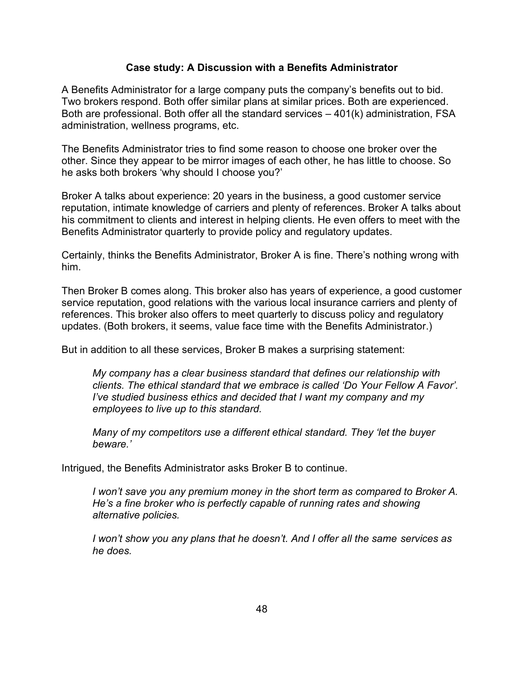#### **Case study: A Discussion with a Benefits Administrator**

A Benefits Administrator for a large company puts the company's benefits out to bid. Two brokers respond. Both offer similar plans at similar prices. Both are experienced. Both are professional. Both offer all the standard services – 401(k) administration, FSA administration, wellness programs, etc.

The Benefits Administrator tries to find some reason to choose one broker over the other. Since they appear to be mirror images of each other, he has little to choose. So he asks both brokers 'why should I choose you?'

Broker A talks about experience: 20 years in the business, a good customer service reputation, intimate knowledge of carriers and plenty of references. Broker A talks about his commitment to clients and interest in helping clients. He even offers to meet with the Benefits Administrator quarterly to provide policy and regulatory updates.

Certainly, thinks the Benefits Administrator, Broker A is fine. There's nothing wrong with him.

Then Broker B comes along. This broker also has years of experience, a good customer service reputation, good relations with the various local insurance carriers and plenty of references. This broker also offers to meet quarterly to discuss policy and regulatory updates. (Both brokers, it seems, value face time with the Benefits Administrator.)

But in addition to all these services, Broker B makes a surprising statement:

*My company has a clear business standard that defines our relationship with clients. The ethical standard that we embrace is called 'Do Your Fellow A Favor'. I've studied business ethics and decided that I want my company and my employees to live up to this standard.*

*Many of my competitors use a different ethical standard. They 'let the buyer beware.'*

Intrigued, the Benefits Administrator asks Broker B to continue.

*I won't save you any premium money in the short term as compared to Broker A. He's a fine broker who is perfectly capable of running rates and showing alternative policies.* 

*I won't show you any plans that he doesn't. And I offer all the same services as he does.*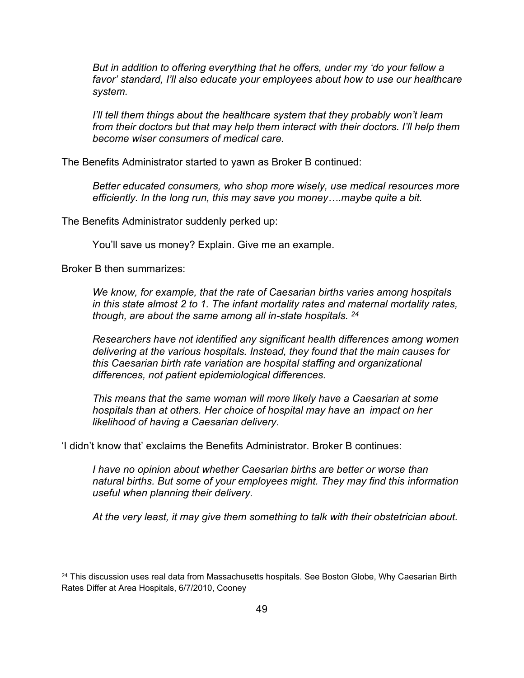*But in addition to offering everything that he offers, under my 'do your fellow a favor' standard, I'll also educate your employees about how to use our healthcare system.*

*I'll tell them things about the healthcare system that they probably won't learn from their doctors but that may help them interact with their doctors. I'll help them become wiser consumers of medical care.*

The Benefits Administrator started to yawn as Broker B continued:

*Better educated consumers, who shop more wisely, use medical resources more efficiently. In the long run, this may save you money….maybe quite a bit.*

The Benefits Administrator suddenly perked up:

You'll save us money? Explain. Give me an example.

Broker B then summarizes:

*We know, for example, that the rate of Caesarian births varies among hospitals in this state almost 2 to 1. The infant mortality rates and maternal mortality rates, though, are about the same among all in-state hospitals. <sup>24</sup>*

*Researchers have not identified any significant health differences among women delivering at the various hospitals. Instead, they found that the main causes for this Caesarian birth rate variation are hospital staffing and organizational differences, not patient epidemiological differences.*

*This means that the same woman will more likely have a Caesarian at some hospitals than at others. Her choice of hospital may have an impact on her likelihood of having a Caesarian delivery.*

'I didn't know that' exclaims the Benefits Administrator. Broker B continues:

*I have no opinion about whether Caesarian births are better or worse than natural births. But some of your employees might. They may find this information useful when planning their delivery.* 

*At the very least, it may give them something to talk with their obstetrician about.*

<sup>&</sup>lt;sup>24</sup> This discussion uses real data from Massachusetts hospitals. See Boston Globe, Why Caesarian Birth Rates Differ at Area Hospitals, 6/7/2010, Cooney